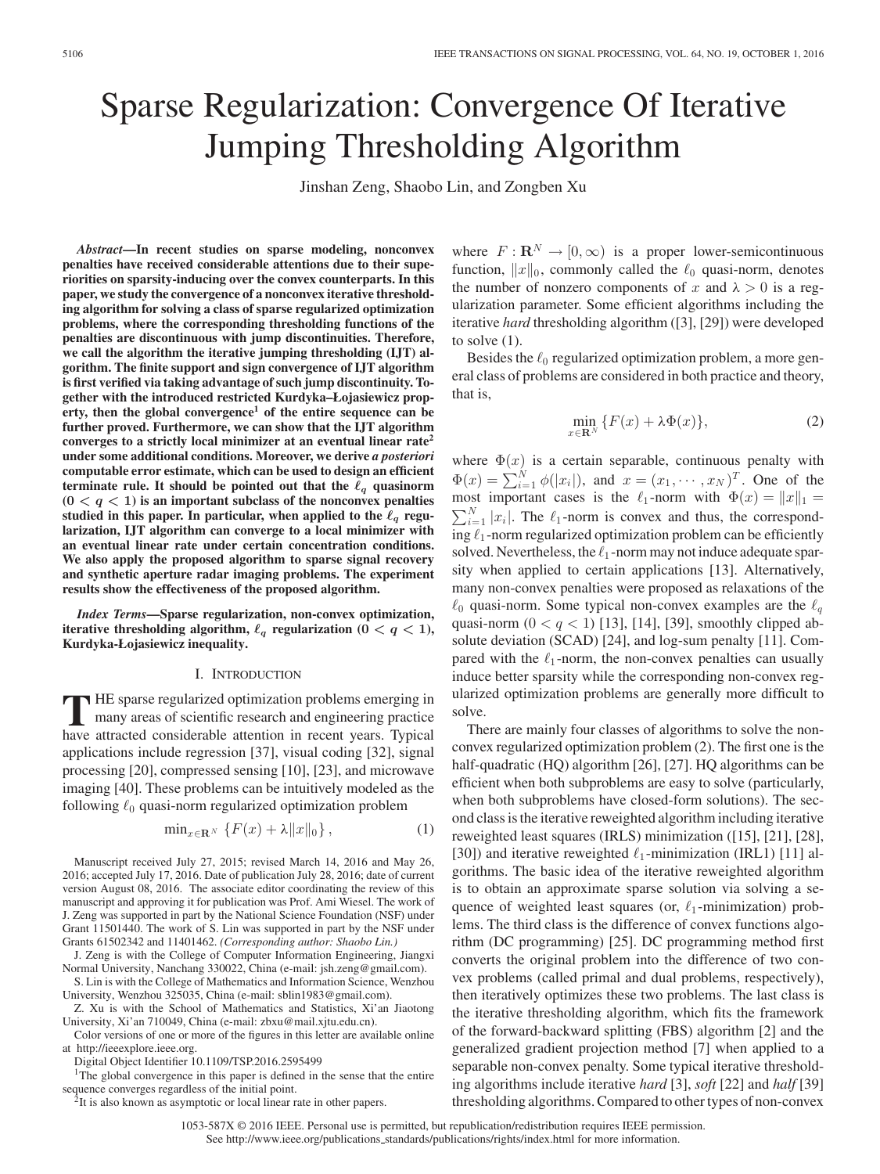# Sparse Regularization: Convergence Of Iterative Jumping Thresholding Algorithm

Jinshan Zeng, Shaobo Lin, and Zongben Xu

*Abstract***—In recent studies on sparse modeling, nonconvex penalties have received considerable attentions due to their superiorities on sparsity-inducing over the convex counterparts. In this paper, we study the convergence of a nonconvex iterative thresholding algorithm for solving a class of sparse regularized optimization problems, where the corresponding thresholding functions of the penalties are discontinuous with jump discontinuities. Therefore, we call the algorithm the iterative jumping thresholding (IJT) algorithm. The finite support and sign convergence of IJT algorithm is first verified via taking advantage of such jump discontinuity. Together with the introduced restricted Kurdyka–Łojasiewicz property, then the global convergence<sup>1</sup> of the entire sequence can be further proved. Furthermore, we can show that the IJT algorithm converges to a strictly local minimizer at an eventual linear rate<sup>2</sup> under some additional conditions. Moreover, we derive** *a posteriori* **computable error estimate, which can be used to design an efficient terminate rule. It should be pointed out that the**  $\ell_q$  **quasinorm**  $(0 \lt q \lt 1)$  is an important subclass of the nonconvex penalties studied in this paper. In particular, when applied to the  $\ell_q$  regu**larization, IJT algorithm can converge to a local minimizer with an eventual linear rate under certain concentration conditions. We also apply the proposed algorithm to sparse signal recovery and synthetic aperture radar imaging problems. The experiment results show the effectiveness of the proposed algorithm.**

*Index Terms***—Sparse regularization, non-convex optimization,** iterative thresholding algorithm,  $\ell_q$  regularization ( $0 < q < 1$ ), **Kurdyka-Łojasiewicz inequality.**

## I. INTRODUCTION

TTHE sparse regularized optimization problems emerging in<br>many areas of scientific research and engineering practice<br>have attracted considerable attention in recent vegre. Tunical have attracted considerable attention in recent years. Typical applications include regression [37], visual coding [32], signal processing [20], compressed sensing [10], [23], and microwave imaging [40]. These problems can be intuitively modeled as the following  $\ell_0$  quasi-norm regularized optimization problem

$$
\min_{x \in \mathbf{R}^N} \left\{ F(x) + \lambda \|x\|_0 \right\},\tag{1}
$$

Manuscript received July 27, 2015; revised March 14, 2016 and May 26, 2016; accepted July 17, 2016. Date of publication July 28, 2016; date of current version August 08, 2016. The associate editor coordinating the review of this manuscript and approving it for publication was Prof. Ami Wiesel. The work of J. Zeng was supported in part by the National Science Foundation (NSF) under Grant 11501440. The work of S. Lin was supported in part by the NSF under Grants 61502342 and 11401462. *(Corresponding author: Shaobo Lin.)*

J. Zeng is with the College of Computer Information Engineering, Jiangxi Normal University, Nanchang 330022, China (e-mail: jsh.zeng@gmail.com).

S. Lin is with the College of Mathematics and Information Science, Wenzhou University, Wenzhou 325035, China (e-mail: sblin1983@gmail.com).

Z. Xu is with the School of Mathematics and Statistics, Xi'an Jiaotong University, Xi'an 710049, China (e-mail: zbxu@mail.xjtu.edu.cn).

Color versions of one or more of the figures in this letter are available online at http://ieeexplore.ieee.org.

Digital Object Identifier 10.1109/TSP.2016.2595499

<sup>1</sup>The global convergence in this paper is defined in the sense that the entire sequence converges regardless of the initial point.<br><sup>2</sup>It is also known as asymptotic or local linear rate in other papers.

where  $F: \mathbf{R}^N \to [0, \infty)$  is a proper lower-semicontinuous function,  $||x||_0$ , commonly called the  $\ell_0$  quasi-norm, denotes the number of nonzero components of x and  $\lambda > 0$  is a regularization parameter. Some efficient algorithms including the iterative *hard* thresholding algorithm ([3], [29]) were developed to solve  $(1)$ .

Besides the  $\ell_0$  regularized optimization problem, a more general class of problems are considered in both practice and theory, that is,

$$
\min_{x \in \mathbf{R}^N} \{ F(x) + \lambda \Phi(x) \},\tag{2}
$$

where  $\Phi(x)$  is a certain separable, continuous penalty with  $\Phi(x) = \sum_{i=1}^{N} \phi(|x_i|)$ , and  $x = (x_1, \dots, x_N)^T$ . One of the most important cases is the  $\ell_1$ -norm with  $\Phi(x) = ||x||_1 =$  $\sum_{i=1}^{N} |x_i|$ . The  $\ell_1$ -norm is convex and thus, the corresponding  $\ell_1$ -norm regularized optimization problem can be efficiently solved. Nevertheless, the  $\ell_1$ -norm may not induce adequate sparsity when applied to certain applications [13]. Alternatively, many non-convex penalties were proposed as relaxations of the  $\ell_0$  quasi-norm. Some typical non-convex examples are the  $\ell_q$ quasi-norm  $(0 < q < 1)$  [13], [14], [39], smoothly clipped absolute deviation (SCAD) [24], and log-sum penalty [11]. Compared with the  $\ell_1$ -norm, the non-convex penalties can usually induce better sparsity while the corresponding non-convex regularized optimization problems are generally more difficult to solve.

There are mainly four classes of algorithms to solve the nonconvex regularized optimization problem (2). The first one is the half-quadratic (HQ) algorithm [26], [27]. HQ algorithms can be efficient when both subproblems are easy to solve (particularly, when both subproblems have closed-form solutions). The second class is the iterative reweighted algorithm including iterative reweighted least squares (IRLS) minimization ([15], [21], [28], [30]) and iterative reweighted  $\ell_1$ -minimization (IRL1) [11] algorithms. The basic idea of the iterative reweighted algorithm is to obtain an approximate sparse solution via solving a sequence of weighted least squares (or,  $\ell_1$ -minimization) problems. The third class is the difference of convex functions algorithm (DC programming) [25]. DC programming method first converts the original problem into the difference of two convex problems (called primal and dual problems, respectively), then iteratively optimizes these two problems. The last class is the iterative thresholding algorithm, which fits the framework of the forward-backward splitting (FBS) algorithm [2] and the generalized gradient projection method [7] when applied to a separable non-convex penalty. Some typical iterative thresholding algorithms include iterative *hard* [3], *soft* [22] and *half* [39] thresholding algorithms. Compared to other types of non-convex

1053-587X © 2016 IEEE. Personal use is permitted, but republication/redistribution requires IEEE permission. See http://www.ieee.org/publications\_[standards/publications/rights/index.html](http://www.ieee.org/publications_standards/publications/rights/index.html) for more information.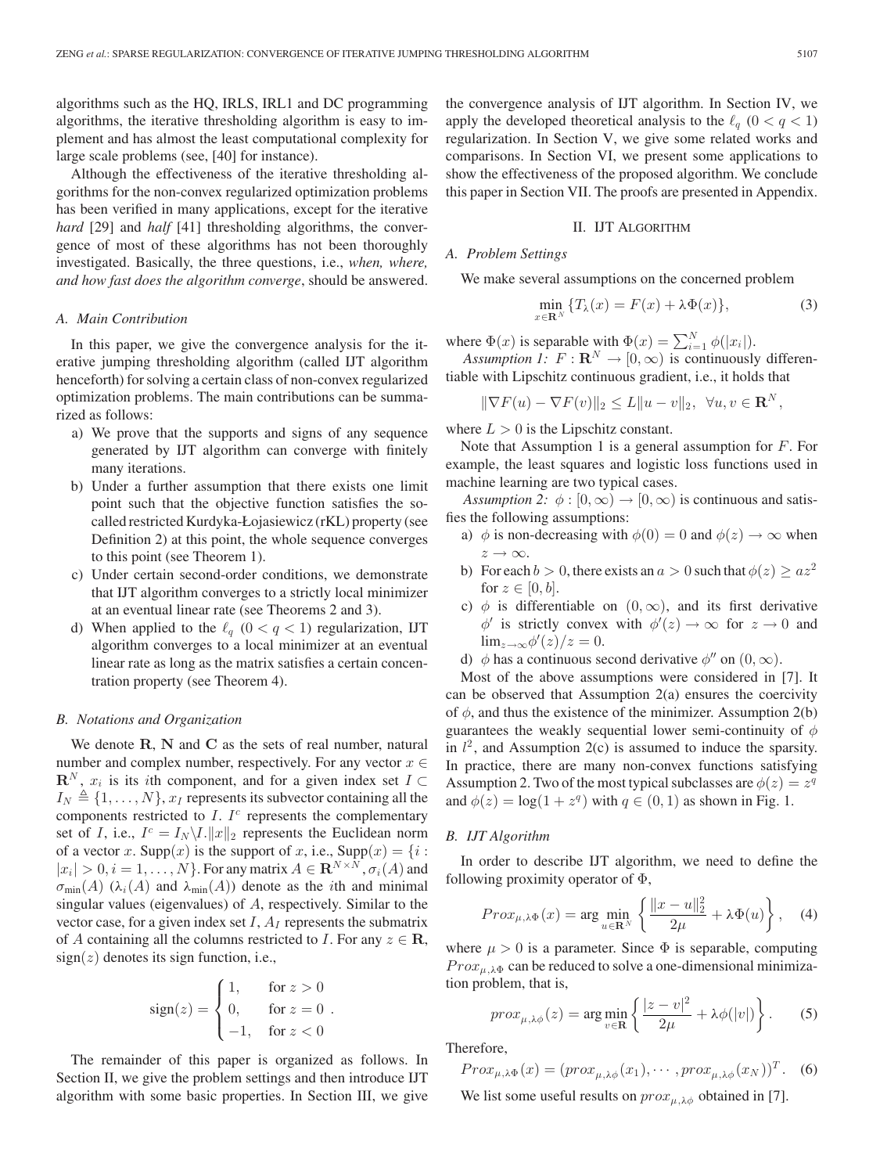algorithms such as the HQ, IRLS, IRL1 and DC programming algorithms, the iterative thresholding algorithm is easy to implement and has almost the least computational complexity for large scale problems (see, [40] for instance).

Although the effectiveness of the iterative thresholding algorithms for the non-convex regularized optimization problems has been verified in many applications, except for the iterative *hard* [29] and *half* [41] thresholding algorithms, the convergence of most of these algorithms has not been thoroughly investigated. Basically, the three questions, i.e., *when, where, and how fast does the algorithm converge*, should be answered.

## *A. Main Contribution*

In this paper, we give the convergence analysis for the iterative jumping thresholding algorithm (called IJT algorithm henceforth) for solving a certain class of non-convex regularized optimization problems. The main contributions can be summarized as follows:

- a) We prove that the supports and signs of any sequence generated by IJT algorithm can converge with finitely many iterations.
- b) Under a further assumption that there exists one limit point such that the objective function satisfies the socalled restricted Kurdyka-Łojasiewicz (rKL) property (see Definition 2) at this point, the whole sequence converges to this point (see Theorem 1).
- c) Under certain second-order conditions, we demonstrate that IJT algorithm converges to a strictly local minimizer at an eventual linear rate (see Theorems 2 and 3).
- d) When applied to the  $\ell_q$  ( $0 < q < 1$ ) regularization, IJT algorithm converges to a local minimizer at an eventual linear rate as long as the matrix satisfies a certain concentration property (see Theorem 4).

#### *B. Notations and Organization*

We denote **R**, **N** and **C** as the sets of real number, natural number and complex number, respectively. For any vector  $x \in$  $\mathbf{R}^{N}$ ,  $x_{i}$  is its *i*th component, and for a given index set  $I \subset$  $I_N \triangleq \{1,\ldots,N\}, x_I$  represents its subvector containing all the components restricted to  $I$ .  $I<sup>c</sup>$  represents the complementary set of I, i.e.,  $I^c = I_N \backslash I$ .  $||x||_2$  represents the Euclidean norm of a vector x. Supp $(x)$  is the support of x, i.e., Supp $(x) = \{i :$  $|x_i| > 0, i = 1, \ldots, N$ . For any matrix  $A \in \mathbb{R}^{N \times N}$ ,  $\sigma_i(A)$  and  $\sigma_{\min}(A)$  ( $\lambda_i(A)$  and  $\lambda_{\min}(A)$ ) denote as the *i*th and minimal singular values (eigenvalues) of A, respectively. Similar to the vector case, for a given index set  $I$ ,  $A_I$  represents the submatrix of A containing all the columns restricted to I. For any  $z \in \mathbb{R}$ ,  $sign(z)$  denotes its sign function, i.e.,

$$
sign(z) = \begin{cases} 1, & \text{for } z > 0 \\ 0, & \text{for } z = 0 \\ -1, & \text{for } z < 0 \end{cases}
$$

The remainder of this paper is organized as follows. In Section II, we give the problem settings and then introduce IJT algorithm with some basic properties. In Section III, we give the convergence analysis of IJT algorithm. In Section IV, we apply the developed theoretical analysis to the  $\ell_q$   $(0 < q < 1)$ regularization. In Section V, we give some related works and comparisons. In Section VI, we present some applications to show the effectiveness of the proposed algorithm. We conclude this paper in Section VII. The proofs are presented in Appendix.

## II. IJT ALGORITHM

# *A. Problem Settings*

We make several assumptions on the concerned problem

$$
\min_{x \in \mathbb{R}^N} \{ T_\lambda(x) = F(x) + \lambda \Phi(x) \},\tag{3}
$$

where  $\Phi(x)$  is separable with  $\Phi(x) = \sum_{i=1}^{N} \phi(|x_i|)$ .

*Assumption 1:*  $F: \mathbf{R}^N \to [0, \infty)$  is continuously differentiable with Lipschitz continuous gradient, i.e., it holds that

 $\|\nabla F(u) - \nabla F(v)\|_2 \leq L \|u - v\|_2, \ \forall u, v \in \mathbb{R}^N,$ 

where  $L > 0$  is the Lipschitz constant.

Note that Assumption 1 is a general assumption for  $F$ . For example, the least squares and logistic loss functions used in machine learning are two typical cases.

*Assumption 2:*  $\phi$ :  $[0, \infty) \rightarrow [0, \infty)$  is continuous and satisfies the following assumptions:

- a)  $\phi$  is non-decreasing with  $\phi(0) = 0$  and  $\phi(z) \rightarrow \infty$  when  $z \rightarrow \infty$ .
- b) For each  $b > 0$ , there exists an  $a > 0$  such that  $\phi(z) \geq az^2$ for  $z \in [0, b]$ .
- c)  $\phi$  is differentiable on  $(0, \infty)$ , and its first derivative  $\phi'$  is strictly convex with  $\phi'(z) \to \infty$  for  $z \to 0$  and  $\lim_{z\to\infty}\phi'(z)/z=0.$
- d)  $\phi$  has a continuous second derivative  $\phi''$  on  $(0,\infty)$ .

Most of the above assumptions were considered in [7]. It can be observed that Assumption 2(a) ensures the coercivity of  $\phi$ , and thus the existence of the minimizer. Assumption 2(b) guarantees the weakly sequential lower semi-continuity of  $\phi$ in  $l^2$ , and Assumption 2(c) is assumed to induce the sparsity. In practice, there are many non-convex functions satisfying Assumption 2. Two of the most typical subclasses are  $\phi(z) = z^q$ and  $\phi(z) = \log(1 + z^q)$  with  $q \in (0, 1)$  as shown in Fig. 1.

## *B. IJT Algorithm*

In order to describe IJT algorithm, we need to define the following proximity operator of  $\Phi$ ,

$$
Prox_{\mu,\lambda\Phi}(x) = \arg\min_{u \in \mathbf{R}^N} \left\{ \frac{\|x - u\|_2^2}{2\mu} + \lambda\Phi(u) \right\}, \quad (4)
$$

where  $\mu > 0$  is a parameter. Since  $\Phi$  is separable, computing  $Prox_{\mu,\lambda\Phi}$  can be reduced to solve a one-dimensional minimization problem, that is,

$$
prox_{\mu,\lambda\phi}(z) = \arg\min_{v \in \mathbf{R}} \left\{ \frac{|z - v|^2}{2\mu} + \lambda\phi(|v|) \right\}.
$$
 (5)

Therefore,

$$
Prox_{\mu,\lambda\Phi}(x) = (prox_{\mu,\lambda\phi}(x_1), \cdots, prox_{\mu,\lambda\phi}(x_N))^T.
$$
 (6)

We list some useful results on  $prox_{\mu, \lambda\phi}$  obtained in [7].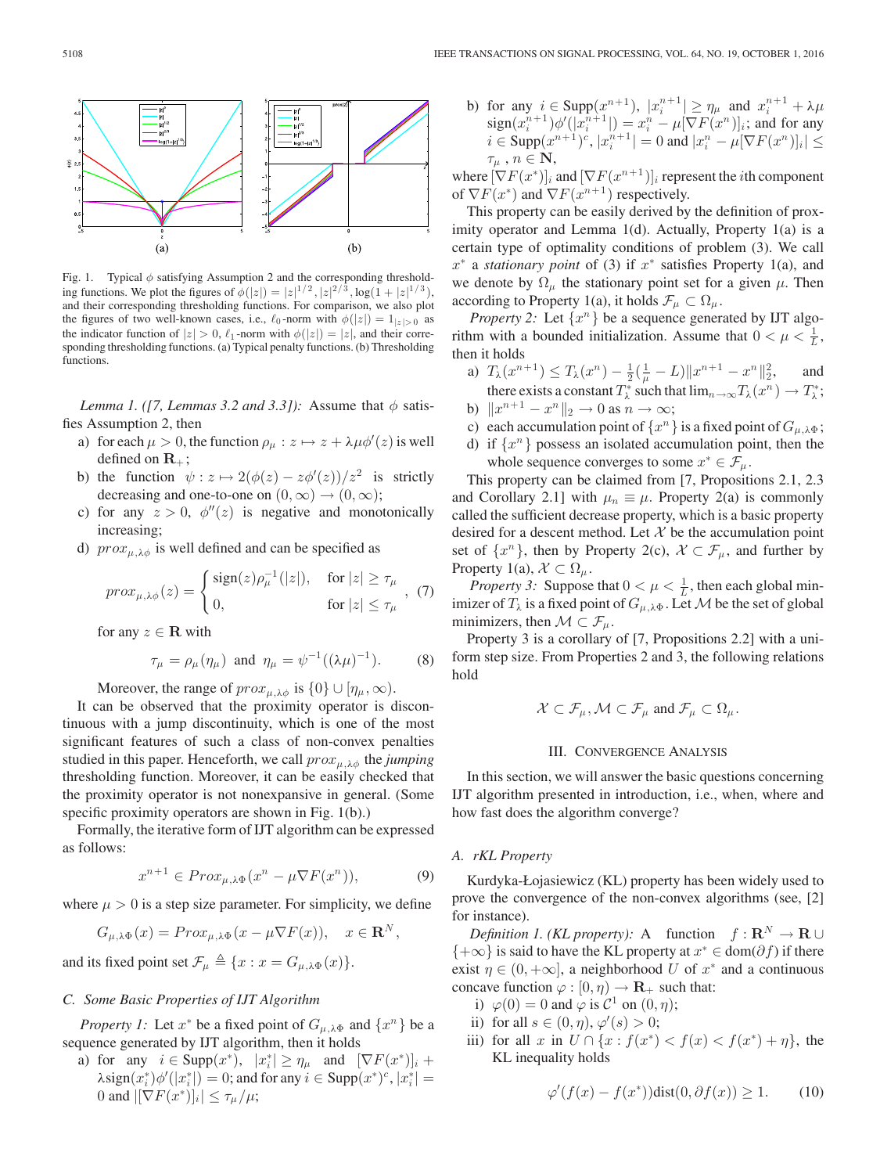

Fig. 1. Typical  $\phi$  satisfying Assumption 2 and the corresponding thresholding functions. We plot the figures of  $\phi(|z|) = |z|^{1/2}, |z|^{2/3}, \log(1+|z|^{1/3}),$ and their corresponding thresholding functions. For comparison, we also plot the figures of two well-known cases, i.e.,  $\ell_0$ -norm with  $\phi(|z|)=1_{|z|>0}$  as the indicator function of  $|z| > 0$ ,  $\ell_1$ -norm with  $\phi(|z|) = |z|$ , and their corresponding thresholding functions. (a) Typical penalty functions. (b) Thresholding functions.

*Lemma 1. ([7, Lemmas 3.2 and 3.3]):* Assume that  $\phi$  satisfies Assumption 2, then

- a) for each  $\mu > 0$ , the function  $\rho_{\mu} : z \mapsto z + \lambda \mu \phi'(z)$  is well defined on  $\mathbf{R}_{+}$ ;
- b) the function  $\psi : z \mapsto 2(\phi(z) z\phi'(z))/z^2$  is strictly decreasing and one-to-one on  $(0, \infty) \rightarrow (0, \infty)$ ;
- c) for any  $z > 0$ ,  $\phi''(z)$  is negative and monotonically increasing;
- d)  $prox_{\mu,\lambda\phi}$  is well defined and can be specified as

$$
prox_{\mu,\lambda\phi}(z) = \begin{cases} \text{sign}(z)\rho_{\mu}^{-1}(|z|), & \text{for } |z| \ge \tau_{\mu} \\ 0, & \text{for } |z| \le \tau_{\mu} \end{cases}, (7)
$$

for any  $z \in \mathbf{R}$  with

$$
\tau_{\mu} = \rho_{\mu}(\eta_{\mu})
$$
 and  $\eta_{\mu} = \psi^{-1}((\lambda \mu)^{-1}).$  (8)

Moreover, the range of  $prox_{\mu, \lambda \phi}$  is  $\{0\} \cup [\eta_{\mu}, \infty)$ .

It can be observed that the proximity operator is discontinuous with a jump discontinuity, which is one of the most significant features of such a class of non-convex penalties studied in this paper. Henceforth, we call  $prox_{\mu,\lambda\phi}$  the *jumping* thresholding function. Moreover, it can be easily checked that the proximity operator is not nonexpansive in general. (Some specific proximity operators are shown in Fig. 1(b).)

Formally, the iterative form of IJT algorithm can be expressed as follows:

$$
x^{n+1} \in Prox_{\mu,\lambda\Phi}(x^n - \mu \nabla F(x^n)), \tag{9}
$$

where  $\mu > 0$  is a step size parameter. For simplicity, we define

$$
G_{\mu,\lambda\Phi}(x) = Prox_{\mu,\lambda\Phi}(x - \mu \nabla F(x)), \quad x \in \mathbf{R}^N,
$$

and its fixed point set  $\mathcal{F}_{\mu} \triangleq \{x : x = G_{\mu,\lambda\Phi}(x)\}.$ 

# *C. Some Basic Properties of IJT Algorithm*

*Property 1:* Let  $x^*$  be a fixed point of  $G_{\mu,\lambda}\Phi$  and  $\{x^n\}$  be a sequence generated by IJT algorithm, then it holds

a) for any  $i \in \text{Supp}(x^*)$ ,  $|x_i^*| \ge \eta_\mu$  and  $[\nabla F(x^*)]_i$  +  $\lambda \text{sign}(x_i^*)\phi'(|x_i^*|) = 0$ ; and for any  $i \in \text{Supp}(x^*)^c$ ,  $|x_i^*| = 0$ 0 and  $|[\nabla F(x^*)]_i| \leq \tau_\mu/\mu;$ 

b) for any  $i \in \text{Supp}(x^{n+1}), |x_i^{n+1}| \ge \eta_\mu$  and  $x_i^{n+1} + \lambda \mu$  $sign(x_i^{n+1})\phi'(|x_i^{n+1}|) = x_i^n - \mu[\nabla F(x^n)]_i$ ; and for any  $i \in \text{Supp}(x^{n+1})^c, |x_i^{n+1}| = 0$  and  $|x_i^n - \mu[\nabla F(x^n)]_i| \le$  $\tau_{\mu}$ ,  $n \in \mathbf{N}$ ,

where  $[\nabla F(x^*)]_i$  and  $[\nabla F(x^{n+1})]_i$  represent the *i*th component of  $\nabla F(x^*)$  and  $\nabla F(x^{n+1})$  respectively.

This property can be easily derived by the definition of proximity operator and Lemma 1(d). Actually, Property 1(a) is a certain type of optimality conditions of problem (3). We call x<sup>∗</sup> a *stationary point* of (3) if x<sup>∗</sup> satisfies Property 1(a), and we denote by  $\Omega_{\mu}$  the stationary point set for a given  $\mu$ . Then according to Property 1(a), it holds  $\mathcal{F}_{\mu} \subset \Omega_{\mu}$ .

*Property 2:* Let  $\{x^n\}$  be a sequence generated by IJT algorithm with a bounded initialization. Assume that  $0 < \mu < \frac{1}{L}$ , then it holds

- a)  $T_{\lambda}(x^{n+1}) \leq T_{\lambda}(x^n) \frac{1}{2}(\frac{1}{\mu} L) \|x^{n+1} x^n\|_2^2$ , and there exists a constant  $T^*_{\lambda}$  such that  $\lim_{n\to\infty}T_{\lambda}(x^n)\to T^*_{\lambda}$ ;
- b)  $||x^{n+1} x^n||_2 \to 0$  as  $n \to \infty$ ;
- c) each accumulation point of  $\{x^n\}$  is a fixed point of  $G_{\mu,\lambda\Phi}$ ;
- d) if  $\{x^n\}$  possess an isolated accumulation point, then the whole sequence converges to some  $x^* \in \mathcal{F}_{\mu}$ .

This property can be claimed from [7, Propositions 2.1, 2.3 and Corollary 2.1] with  $\mu_n \equiv \mu$ . Property 2(a) is commonly called the sufficient decrease property, which is a basic property desired for a descent method. Let  $X$  be the accumulation point set of  $\{x^n\}$ , then by Property 2(c),  $\mathcal{X} \subset \mathcal{F}_\mu$ , and further by Property 1(a),  $\mathcal{X} \subset \Omega_{\mu}$ .

*Property 3:* Suppose that  $0 < \mu < \frac{1}{L}$ , then each global minimizer of  $T_{\lambda}$  is a fixed point of  $G_{\mu,\lambda\Phi}$ . Let M be the set of global minimizers, then  $\mathcal{M} \subset \mathcal{F}_{\mu}$ .

Property 3 is a corollary of [7, Propositions 2.2] with a uniform step size. From Properties 2 and 3, the following relations hold

$$
\mathcal{X} \subset \mathcal{F}_{\mu}, \mathcal{M} \subset \mathcal{F}_{\mu} \text{ and } \mathcal{F}_{\mu} \subset \Omega_{\mu}.
$$

## III. CONVERGENCE ANALYSIS

In this section, we will answer the basic questions concerning IJT algorithm presented in introduction, i.e., when, where and how fast does the algorithm converge?

## *A. rKL Property*

Kurdyka-Łojasiewicz (KL) property has been widely used to prove the convergence of the non-convex algorithms (see, [2] for instance).

*Definition 1. (KL property):* A function  $f: \mathbb{R}^N \to \mathbb{R} \cup$  ${+\infty}$  is said to have the KL property at  $x^* \in \text{dom}(\partial f)$  if there exist  $\eta \in (0, +\infty]$ , a neighborhood U of  $x^*$  and a continuous concave function  $\varphi : [0, \eta) \to \mathbf{R}_+$  such that:

- i)  $\varphi(0) = 0$  and  $\varphi$  is  $C^1$  on  $(0, \eta)$ ;
- ii) for all  $s \in (0, \eta), \varphi'(s) > 0;$
- iii) for all x in  $U \cap \{x : f(x^*) < f(x) < f(x^*) + \eta\}$ , the KL inequality holds

$$
\varphi'(f(x) - f(x^*))\text{dist}(0, \partial f(x)) \ge 1. \tag{10}
$$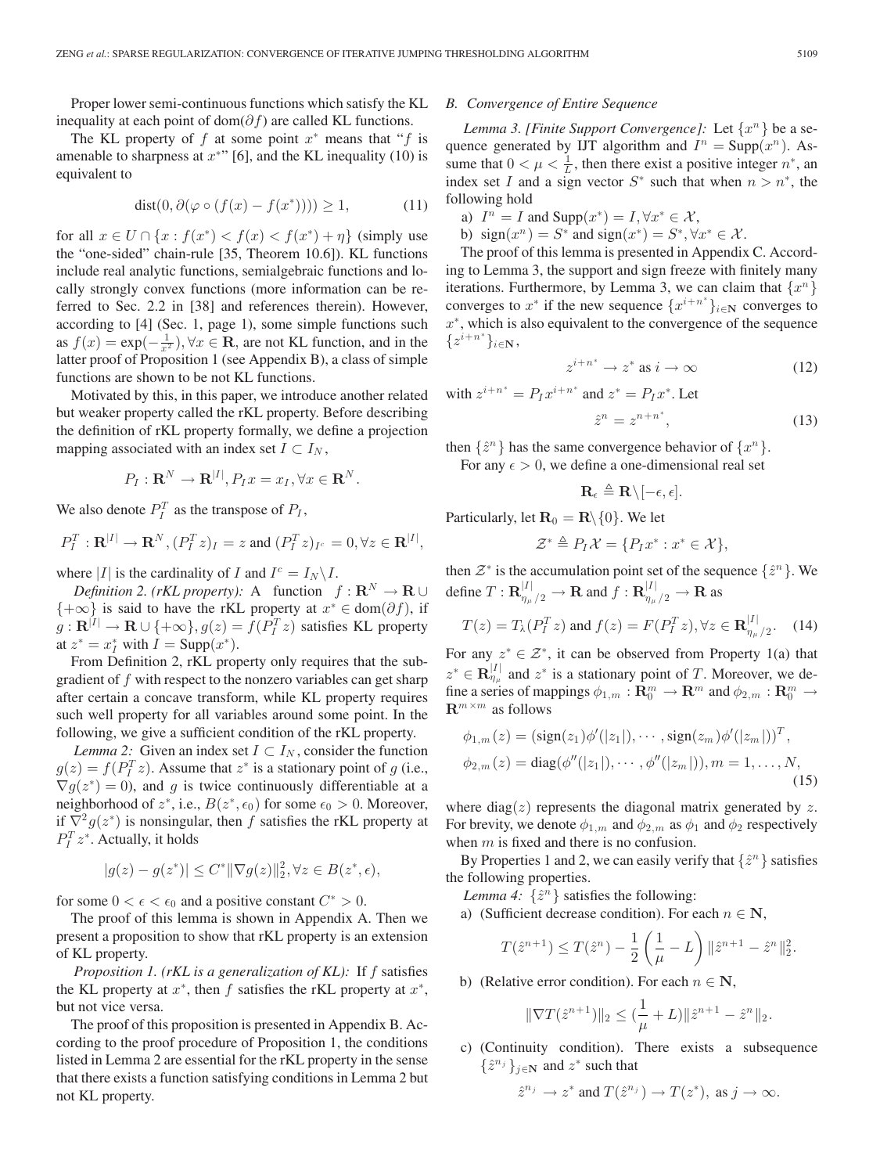Proper lower semi-continuous functions which satisfy the KL inequality at each point of dom( $\partial f$ ) are called KL functions.

The KL property of f at some point  $x^*$  means that "f is amenable to sharpness at  $x^*$ " [6], and the KL inequality (10) is equivalent to

$$
dist(0, \partial(\varphi \circ (f(x) - f(x^*)))) \ge 1,
$$
\n(11)

for all  $x \in U \cap \{x : f(x^*) < f(x) < f(x^*) + \eta\}$  (simply use the "one-sided" chain-rule [35, Theorem 10.6]). KL functions include real analytic functions, semialgebraic functions and locally strongly convex functions (more information can be referred to Sec. 2.2 in [38] and references therein). However, according to [4] (Sec. 1, page 1), some simple functions such as  $f(x) = \exp(-\frac{1}{x^2})$ ,  $\forall x \in \mathbb{R}$ , are not KL function, and in the latter proof of Proposition 1 (see Appendix B), a class of simple functions are shown to be not KL functions.

Motivated by this, in this paper, we introduce another related but weaker property called the rKL property. Before describing the definition of rKL property formally, we define a projection mapping associated with an index set  $I \subset I_N$ ,

$$
P_I: \mathbf{R}^N \to \mathbf{R}^{|I|}, P_I x = x_I, \forall x \in \mathbf{R}^N.
$$

We also denote  $P_I^T$  as the transpose of  $P_I$ ,

$$
P_I^T: \mathbf{R}^{|I|} \to \mathbf{R}^N, (P_I^T z)_I = z \text{ and } (P_I^T z)_{I^c} = 0, \forall z \in \mathbf{R}^{|I|},
$$

where |I| is the cardinality of I and  $I^c = I_N \backslash I$ .

*Definition 2. (rKL property):* A function  $f: \mathbf{R}^N \to \mathbf{R} \cup \mathbf{R}$  ${+\infty}$  is said to have the rKL property at  $x^* \in \text{dom}(\partial f)$ , if  $g: \mathbf{R}^{|I|} \to \mathbf{R} \cup \{+\infty\}, g(z) = f(P_I^T z)$  satisfies KL property at  $z^* = x_I^*$  with  $I = \text{Supp}(x^*)$ .

From Definition 2, rKL property only requires that the subgradient of  $f$  with respect to the nonzero variables can get sharp after certain a concave transform, while KL property requires such well property for all variables around some point. In the following, we give a sufficient condition of the rKL property.

*Lemma 2:* Given an index set  $I \subset I_N$ , consider the function  $g(z) = f(P_I^T z)$ . Assume that  $z^*$  is a stationary point of g (i.e.,  $\nabla g(z^*)=0$ , and g is twice continuously differentiable at a neighborhood of  $z^*$ , i.e.,  $B(z^*, \epsilon_0)$  for some  $\epsilon_0 > 0$ . Moreover, if  $\nabla^2 g(z^*)$  is nonsingular, then f satisfies the rKL property at  $P_I^T z^*$ . Actually, it holds

$$
|g(z) - g(z^*)| \le C^* \|\nabla g(z)\|_2^2, \forall z \in B(z^*, \epsilon),
$$

for some  $0 < \epsilon < \epsilon_0$  and a positive constant  $C^* > 0$ .

The proof of this lemma is shown in Appendix A. Then we present a proposition to show that rKL property is an extension of KL property.

*Proposition 1. (rKL is a generalization of KL):* If f satisfies the KL property at  $x^*$ , then f satisfies the rKL property at  $x^*$ , but not vice versa.

The proof of this proposition is presented in Appendix B. According to the proof procedure of Proposition 1, the conditions listed in Lemma 2 are essential for the rKL property in the sense that there exists a function satisfying conditions in Lemma 2 but not KL property.

# *B. Convergence of Entire Sequence*

*Lemma 3. [Finite Support Convergence]:* Let  $\{x^n\}$  be a sequence generated by IJT algorithm and  $I^n = \text{Supp}(x^n)$ . Assume that  $0 < \mu < \frac{1}{L}$ , then there exist a positive integer  $n^*$ , and index set I and a sign vector  $S^*$  such that when  $n > n^*$ , the following hold

- a)  $I^n = I$  and  $\text{Supp}(x^*) = I, \forall x^* \in \mathcal{X}$ ,
- b) sign( $x^n$ ) =  $S^*$  and sign( $x^*$ ) =  $S^*$ ,  $\forall x^* \in \mathcal{X}$ .

The proof of this lemma is presented in Appendix C. According to Lemma 3, the support and sign freeze with finitely many iterations. Furthermore, by Lemma 3, we can claim that  $\{x^n\}$ converges to  $x^*$  if the new sequence  $\{x^{i+n^*}\}_{i\in\mathbb{N}}$  converges to  $x^*$ , which is also equivalent to the convergence of the sequence  $\{z^{i+n^*}\}_{i\in\mathbf{N}},$ 

$$
z^{i+n^*} \to z^* \text{ as } i \to \infty \tag{12}
$$

with  $z^{i+n^*} = P_I x^{i+n^*}$  and  $z^* = P_I x^*$ . Let

$$
\hat{z}^n = z^{n+n^*},\tag{13}
$$

then  $\{\hat{z}^n\}$  has the same convergence behavior of  $\{x^n\}$ . For any  $\epsilon > 0$ , we define a one-dimensional real set

$$
\mathbf{R}_{\epsilon} \triangleq \mathbf{R} \backslash [-\epsilon, \epsilon].
$$

Particularly, let  $\mathbf{R}_0 = \mathbf{R} \setminus \{0\}$ . We let

$$
\mathcal{Z}^* \triangleq P_I \mathcal{X} = \{ P_I x^* : x^* \in \mathcal{X} \},
$$

then  $\mathcal{Z}^*$  is the accumulation point set of the sequence  $\{\hat{z}^n\}$ . We define  $T: \mathbf{R}^{|I|}_{\eta_{\mu}/2} \to \mathbf{R}$  and  $f: \mathbf{R}^{|I|}_{\eta_{\mu}/2} \to \mathbf{R}$  as

$$
T(z) = T_{\lambda}(P_I^T z)
$$
 and  $f(z) = F(P_I^T z), \forall z \in \mathbf{R}_{\eta_{\mu}/2}^{|I|}$ . (14)

For any  $z^* \in \mathcal{Z}^*$ , it can be observed from Property 1(a) that  $z^* \in \mathbf{R}_{\eta_\mu}^{|I|}$  and  $z^*$  is a stationary point of T. Moreover, we define a series of mappings  $\phi_{1,m} : \mathbf{R}_0^m \to \mathbf{R}^m$  and  $\phi_{2,m} : \mathbf{R}_0^m \to$  $\mathbf{R}^{m \times m}$  as follows

$$
\phi_{1,m}(z) = (\text{sign}(z_1)\phi'(|z_1|), \cdots, \text{sign}(z_m)\phi'(|z_m|))^T,\n\phi_{2,m}(z) = \text{diag}(\phi''(|z_1|), \cdots, \phi''(|z_m|)), m = 1, \dots, N,
$$
\n(15)

where diag( $z$ ) represents the diagonal matrix generated by  $z$ . For brevity, we denote  $\phi_{1,m}$  and  $\phi_{2,m}$  as  $\phi_1$  and  $\phi_2$  respectively when  $m$  is fixed and there is no confusion.

By Properties 1 and 2, we can easily verify that  $\{\hat{z}^n\}$  satisfies the following properties.

*Lemma 4:*  $\{\hat{z}^n\}$  satisfies the following:

a) (Sufficient decrease condition). For each  $n \in \mathbb{N}$ ,

$$
T(\hat{z}^{n+1}) \le T(\hat{z}^n) - \frac{1}{2} \left( \frac{1}{\mu} - L \right) \|\hat{z}^{n+1} - \hat{z}^n\|_2^2.
$$

b) (Relative error condition). For each  $n \in \mathbb{N}$ ,

$$
\|\nabla T(\hat{z}^{n+1})\|_2 \leq (\frac{1}{\mu} + L) \|\hat{z}^{n+1} - \hat{z}^n\|_2.
$$

c) (Continuity condition). There exists a subsequence  $\{\hat{z}^{n_j}\}_{j\in\mathbb{N}}$  and  $z^*$  such that

$$
\hat{z}^{n_j} \to z^*
$$
 and  $T(\hat{z}^{n_j}) \to T(z^*)$ , as  $j \to \infty$ .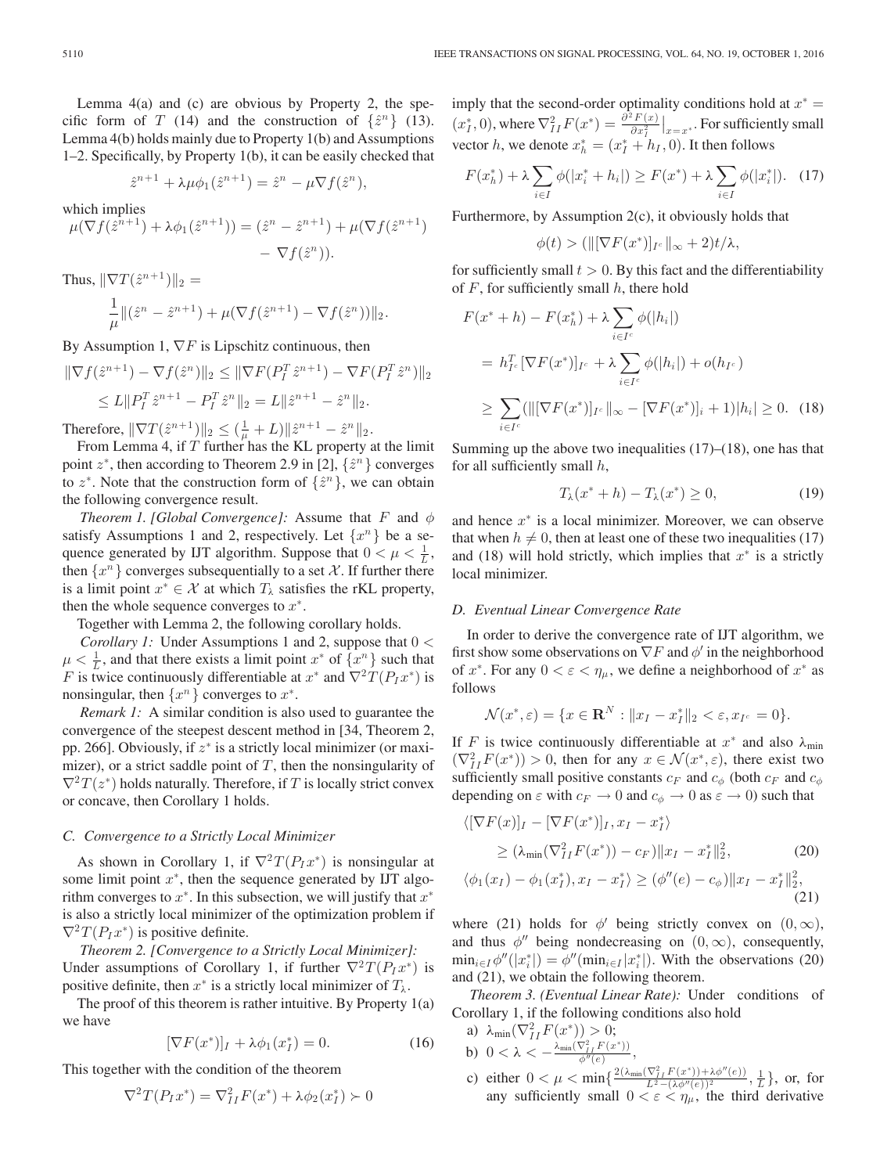Lemma 4(a) and (c) are obvious by Property 2, the specific form of T (14) and the construction of  $\{\hat{z}^n\}$  (13). Lemma 4(b) holds mainly due to Property 1(b) and Assumptions 1–2. Specifically, by Property 1(b), it can be easily checked that

$$
\hat{z}^{n+1} + \lambda \mu \phi_1(\hat{z}^{n+1}) = \hat{z}^n - \mu \nabla f(\hat{z}^n),
$$

which implies

$$
\mu(\nabla f(\hat{z}^{n+1}) + \lambda \phi_1(\hat{z}^{n+1})) = (\hat{z}^n - \hat{z}^{n+1}) + \mu(\nabla f(\hat{z}^{n+1}) - \nabla f(\hat{z}^n)).
$$

Thus, 
$$
\|\nabla T(\hat{z}^{n+1})\|_2 =
$$
  
\n
$$
\frac{1}{\mu} \|(\hat{z}^n - \hat{z}^{n+1}) + \mu(\nabla f(\hat{z}^{n+1}) - \nabla f(\hat{z}^n))\|_2.
$$

By Assumption 1,  $\nabla F$  is Lipschitz continuous, then

$$
\begin{aligned} \|\nabla f(\hat{z}^{n+1}) - \nabla f(\hat{z}^n)\|_2 &\leq \|\nabla F(P_I^T \hat{z}^{n+1}) - \nabla F(P_I^T \hat{z}^n)\|_2 \\ &\leq L \|P_I^T \hat{z}^{n+1} - P_I^T \hat{z}^n\|_2 = L \|\hat{z}^{n+1} - \hat{z}^n\|_2. \end{aligned}
$$

Therefore,  $\|\nabla T(\hat{z}^{n+1})\|_2 \leq (\frac{1}{\mu} + L) \|\hat{z}^{n+1} - \hat{z}^n\|_2$ .

From Lemma 4, if  $T$  further has the KL property at the limit point  $z^*$ , then according to Theorem 2.9 in [2],  $\{\hat{z}^n\}$  converges to  $z^*$ . Note that the construction form of  $\{\hat{z}^n\}$ , we can obtain the following convergence result.

*Theorem 1. [Global Convergence]:* Assume that F and  $\phi$ satisfy Assumptions 1 and 2, respectively. Let  $\{x^n\}$  be a sequence generated by IJT algorithm. Suppose that  $0 < \mu < \frac{1}{L}$ , then  $\{x^n\}$  converges subsequentially to a set X. If further there is a limit point  $x^* \in \mathcal{X}$  at which  $T_\lambda$  satisfies the rKL property, then the whole sequence converges to  $x^*$ .

Together with Lemma 2, the following corollary holds.

*Corollary 1:* Under Assumptions 1 and 2, suppose that 0 <  $\mu < \frac{1}{L}$ , and that there exists a limit point  $x^*$  of  $\{x^n\}$  such that F is twice continuously differentiable at  $x^*$  and  $\nabla^2 T(P_I x^*)$  is nonsingular, then  $\{x^n\}$  converges to  $x^*$ .

*Remark 1:* A similar condition is also used to guarantee the convergence of the steepest descent method in [34, Theorem 2, pp. 266]. Obviously, if  $z^*$  is a strictly local minimizer (or maximizer), or a strict saddle point of  $T$ , then the nonsingularity of  $\nabla^2 T(z^*)$  holds naturally. Therefore, if T is locally strict convex or concave, then Corollary 1 holds.

## *C. Convergence to a Strictly Local Minimizer*

As shown in Corollary 1, if  $\nabla^2 T(P_I x^*)$  is nonsingular at some limit point  $x^*$ , then the sequence generated by IJT algorithm converges to  $x^*$ . In this subsection, we will justify that  $x^*$ is also a strictly local minimizer of the optimization problem if  $\nabla^2 T(P_I x^*)$  is positive definite.

*Theorem 2. [Convergence to a Strictly Local Minimizer]:* Under assumptions of Corollary 1, if further  $\nabla^2 T(P_I x^*)$  is positive definite, then  $x^*$  is a strictly local minimizer of  $T_\lambda$ .

The proof of this theorem is rather intuitive. By Property 1(a) we have

$$
[\nabla F(x^*)]_I + \lambda \phi_1(x_I^*) = 0.
$$
 (16)

This together with the condition of the theorem

$$
\nabla^2 T(P_I x^*) = \nabla^2_{II} F(x^*) + \lambda \phi_2(x_I^*) \succ 0
$$

imply that the second-order optimality conditions hold at  $x^* =$  $(x_I^*, 0)$ , where  $\nabla^2_{II} F(x^*) = \frac{\partial^2 F(x)}{\partial x_I^2}\Big|_{x=x^*}$ . For sufficiently small vector h, we denote  $x_h^* = (x_I^* + h_I, 0)$ . It then follows

$$
F(x_h^*) + \lambda \sum_{i \in I} \phi(|x_i^* + h_i|) \ge F(x^*) + \lambda \sum_{i \in I} \phi(|x_i^*|). \quad (17)
$$

Furthermore, by Assumption  $2(c)$ , it obviously holds that

$$
\phi(t) > (\|[\nabla F(x^*)]_{I^c}\|_{\infty} + 2)t/\lambda,
$$

for sufficiently small  $t > 0$ . By this fact and the differentiability of  $F$ , for sufficiently small  $h$ , there hold

$$
F(x^* + h) - F(x_h^*) + \lambda \sum_{i \in I^c} \phi(|h_i|)
$$
  
=  $h_{I^c}^T [\nabla F(x^*)]_{I^c} + \lambda \sum_{i \in I^c} \phi(|h_i|) + o(h_{I^c})$   
 $\geq \sum_{i \in I^c} (||[\nabla F(x^*)]_{I^c}||_{\infty} - [\nabla F(x^*)]_i + 1)|h_i| \geq 0.$  (18)

Summing up the above two inequalities  $(17)$ – $(18)$ , one has that for all sufficiently small  $h$ ,

$$
T_{\lambda}(x^* + h) - T_{\lambda}(x^*) \ge 0,
$$
\n(19)

and hence  $x^*$  is a local minimizer. Moreover, we can observe that when  $h \neq 0$ , then at least one of these two inequalities (17) and (18) will hold strictly, which implies that  $x^*$  is a strictly local minimizer.

## *D. Eventual Linear Convergence Rate*

In order to derive the convergence rate of IJT algorithm, we first show some observations on  $\nabla F$  and  $\phi'$  in the neighborhood of  $x^*$ . For any  $0 < \varepsilon < \eta_\mu$ , we define a neighborhood of  $x^*$  as follows

$$
\mathcal{N}(x^*, \varepsilon) = \{ x \in \mathbf{R}^N : ||x_I - x_I^*||_2 < \varepsilon, x_{I^c} = 0 \}.
$$

If F is twice continuously differentiable at  $x^*$  and also  $\lambda_{\min}$  $(\nabla^2_{II} F(x^*)) > 0$ , then for any  $x \in \mathcal{N}(x^*, \varepsilon)$ , there exist two sufficiently small positive constants  $c_F$  and  $c_{\phi}$  (both  $c_F$  and  $c_{\phi}$ depending on  $\varepsilon$  with  $c_F \to 0$  and  $c_\phi \to 0$  as  $\varepsilon \to 0$ ) such that

$$
\langle [\nabla F(x)]_I - [\nabla F(x^*)]_I, x_I - x_I^* \rangle
$$
  
\n
$$
\ge (\lambda_{\min} (\nabla_{II}^2 F(x^*)) - c_F) \|x_I - x_I^* \|_2^2,
$$
 (20)  
\n
$$
\langle \phi_1(x_1) - \phi_1(x^*) | x_I - x^* \rangle > (\phi_1''(\rho) - c_I) \|x_I - x^* \|_2^2
$$

$$
\langle \phi_1(x_I) - \phi_1(x_I^*), x_I - x_I^* \rangle \ge (\phi''(e) - c_\phi) \| x_I - x_I^* \|_2^2,
$$
\n(21)

where (21) holds for  $\phi'$  being strictly convex on  $(0,\infty)$ , and thus  $\phi''$  being nondecreasing on  $(0, \infty)$ , consequently,  $\min_{i \in I} \phi''(|x_i^*|) = \phi''(\min_{i \in I} |x_i^*|)$ . With the observations (20) and (21), we obtain the following theorem.

*Theorem 3. (Eventual Linear Rate):* Under conditions of Corollary 1, if the following conditions also hold

- a)  $\lambda_{\min}(\nabla^2_{II}F(x^*)) > 0;$ b)  $0 < \lambda < -\frac{\lambda_{\min}(\nabla^2_{II} F(x^*))}{\phi''(e)},$
- c) either  $0 < \mu < \min\left\{\frac{2(\lambda_{\min}(\nabla^2_{II} F(x^*))+\lambda \phi''(e))}{L^2-(\lambda \phi''(e))^2},\frac{1}{L}\right\}$ , or, for any sufficiently small  $0 < \varepsilon < \eta_{\mu}$ , the third derivative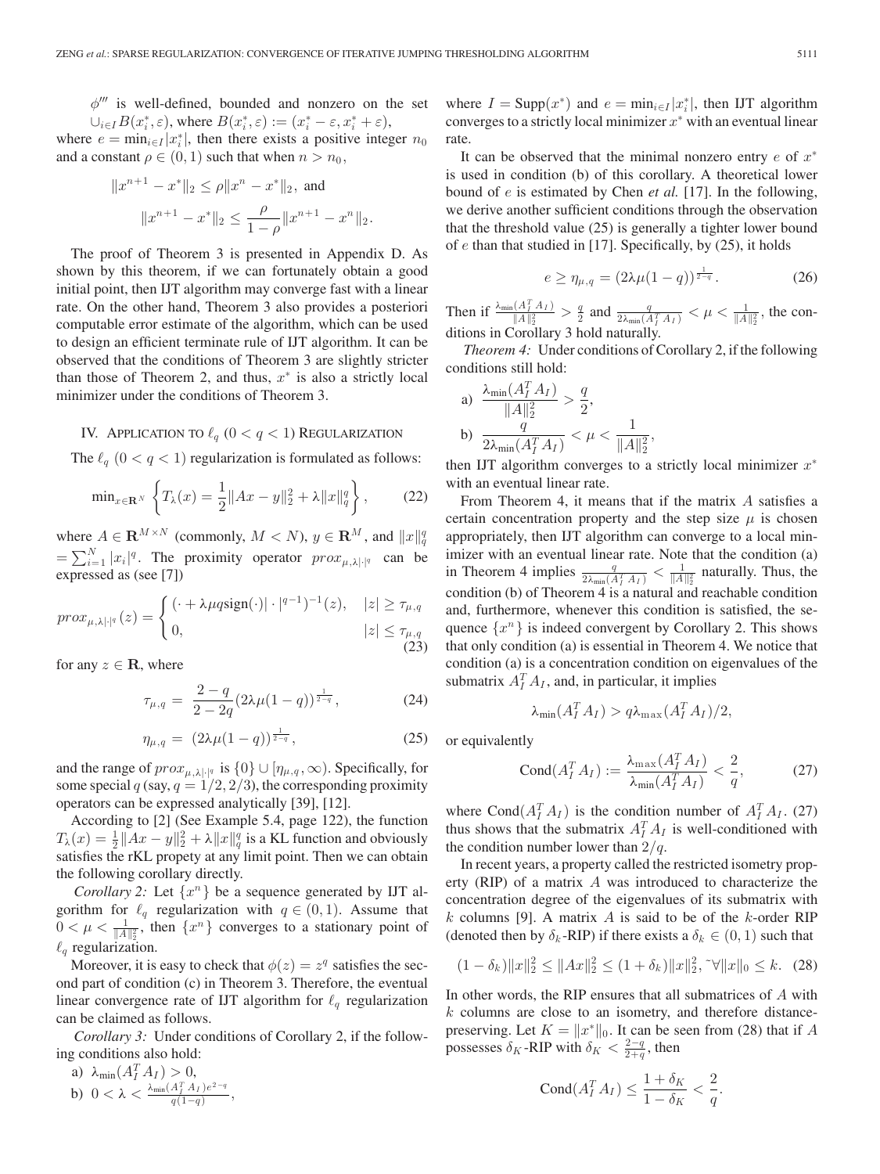$\phi^{\prime\prime\prime}$  is well-defined, bounded and nonzero on the set  $\bigcup_{i\in I} B(x_i^*, \varepsilon)$ , where  $B(x_i^*, \varepsilon) := (x_i^* - \varepsilon, x_i^* + \varepsilon)$ ,

where  $e = \min_{i \in I} |x_i^*|$ , then there exists a positive integer  $n_0$ and a constant  $\rho \in (0, 1)$  such that when  $n > n_0$ ,

$$
||x^{n+1} - x^*||_2 \le \rho ||x^n - x^*||_2, \text{ and}
$$
  

$$
||x^{n+1} - x^*||_2 \le \frac{\rho}{1 - \rho} ||x^{n+1} - x^n||_2.
$$

The proof of Theorem 3 is presented in Appendix D. As shown by this theorem, if we can fortunately obtain a good initial point, then IJT algorithm may converge fast with a linear rate. On the other hand, Theorem 3 also provides a posteriori computable error estimate of the algorithm, which can be used to design an efficient terminate rule of IJT algorithm. It can be observed that the conditions of Theorem 3 are slightly stricter than those of Theorem 2, and thus,  $x^*$  is also a strictly local minimizer under the conditions of Theorem 3.

# IV. APPLICATION TO  $\ell_q$   $(0 < q < 1)$  Regularization

The  $\ell_q$   $(0 < q < 1)$  regularization is formulated as follows:

$$
\min_{x \in \mathbf{R}^N} \left\{ T_{\lambda}(x) = \frac{1}{2} \|Ax - y\|_2^2 + \lambda \|x\|_q^q \right\},\qquad(22)
$$

where  $A \in \mathbf{R}^{M \times N}$  (commonly,  $M < N$ ),  $y \in \mathbf{R}^{M}$ , and  $||x||_{q}^{q}$  $=\sum_{i=1}^{N} |x_i|^q$ . The proximity operator  $prox_{\mu,\lambda|\cdot|^q}$  can be expressed as (see [7])

$$
prox_{\mu,\lambda|\cdot|^q}(z) = \begin{cases} (\cdot + \lambda \mu q \text{sign}(\cdot)|\cdot|^{q-1})^{-1}(z), & |z| \ge \tau_{\mu,q} \\ 0, & |z| \le \tau_{\mu,q} \end{cases} \tag{23}
$$

for any  $z \in \mathbf{R}$ , where

$$
\tau_{\mu,q} = \frac{2-q}{2-2q} (2\lambda \mu (1-q))^{\frac{1}{2-q}}, \tag{24}
$$

$$
\eta_{\mu,q} = (2\lambda\mu(1-q))^{\frac{1}{2-q}}, \tag{25}
$$

and the range of  $prox_{\mu,\lambda|\cdot|^q}$  is  $\{0\} \cup [\eta_{\mu,q},\infty)$ . Specifically, for some special  $q$  (say,  $q = 1/2, 2/3$ ), the corresponding proximity operators can be expressed analytically [39], [12].

According to [2] (See Example 5.4, page 122), the function  $T_{\lambda}(x) = \frac{1}{2} ||Ax - y||_2^2 + \lambda ||x||_q^q$  is a KL function and obviously satisfies the rKL propety at any limit point. Then we can obtain the following corollary directly.

*Corollary 2:* Let  $\{x^n\}$  be a sequence generated by IJT algorithm for  $\ell_q$  regularization with  $q \in (0,1)$ . Assume that  $0 < \mu < \frac{1}{\|A\|_2^2}$ , then  $\{x^n\}$  converges to a stationary point of  $\ell_q$  regularization.

Moreover, it is easy to check that  $\phi(z) = z^q$  satisfies the second part of condition (c) in Theorem 3. Therefore, the eventual linear convergence rate of IJT algorithm for  $\ell_q$  regularization can be claimed as follows.

*Corollary 3:* Under conditions of Corollary 2, if the following conditions also hold:

a) 
$$
\lambda_{\min}(A_I^T A_I) > 0
$$
, \nb)  $0 < \lambda < \frac{\lambda_{\min}(A_I^T A_I) e^{2-q}}{q(1-q)},$ 

where  $I = \text{Supp}(x^*)$  and  $e = \min_{i \in I} |x_i^*|$ , then IJT algorithm converges to a strictly local minimizer  $x^*$  with an eventual linear rate.

It can be observed that the minimal nonzero entry  $e$  of  $x^*$ is used in condition (b) of this corollary. A theoretical lower bound of e is estimated by Chen *et al.* [17]. In the following, we derive another sufficient conditions through the observation that the threshold value (25) is generally a tighter lower bound of  $e$  than that studied in [17]. Specifically, by (25), it holds

$$
e \ge \eta_{\mu,q} = (2\lambda\mu(1-q))^{\frac{1}{2-q}}.
$$
 (26)

Then if  $\frac{\lambda_{\min}(A_I^T A_I)}{\|A\|_2^2} > \frac{q}{2}$  and  $\frac{q}{2\lambda_{\min}(A_I^T A_I)} < \mu < \frac{1}{\|A\|_2^2}$ , the conditions in Corollary 3 hold naturally.

*Theorem 4:* Under conditions of Corollary 2, if the following conditions still hold:

a) 
$$
\frac{\lambda_{\min}(A_I^T A_I)}{\|A\|_2^2} > \frac{q}{2},
$$
  
b) 
$$
\frac{q}{2\lambda_{\min}(A_I^T A_I)} < \mu < \frac{1}{\|A\|_2^2},
$$

then IJT algorithm converges to a strictly local minimizer  $x^*$ with an eventual linear rate.

From Theorem 4, it means that if the matrix A satisfies a certain concentration property and the step size  $\mu$  is chosen appropriately, then IJT algorithm can converge to a local minimizer with an eventual linear rate. Note that the condition (a) in Theorem 4 implies  $\frac{q}{2\lambda_{\min}(A_I^T A_I)} < \frac{1}{\|A\|_2^2}$  naturally. Thus, the condition (b) of Theorem 4 is a natural and reachable condition and, furthermore, whenever this condition is satisfied, the sequence  $\{x^n\}$  is indeed convergent by Corollary 2. This shows that only condition (a) is essential in Theorem 4. We notice that condition (a) is a concentration condition on eigenvalues of the submatrix  $A_I^T A_I$ , and, in particular, it implies

$$
\lambda_{\min}(A_I^T A_I) > q \lambda_{\max}(A_I^T A_I)/2,
$$

or equivalently

$$
\text{Cond}(A_I^T A_I) := \frac{\lambda_{\max}(A_I^T A_I)}{\lambda_{\min}(A_I^T A_I)} < \frac{2}{q},\tag{27}
$$

where Cond $(A_I^T A_I)$  is the condition number of  $A_I^T A_I$ . (27) thus shows that the submatrix  $A_I^T A_I$  is well-conditioned with the condition number lower than  $2/q$ .

In recent years, a property called the restricted isometry property (RIP) of a matrix A was introduced to characterize the concentration degree of the eigenvalues of its submatrix with k columns [9]. A matrix A is said to be of the k-order RIP (denoted then by  $\delta_k$ -RIP) if there exists a  $\delta_k \in (0,1)$  such that

$$
(1 - \delta_k) \|x\|_2^2 \le \|Ax\|_2^2 \le (1 + \delta_k) \|x\|_2^2, \sqrt[k]{\|x\|_0} \le k. \tag{28}
$$

In other words, the RIP ensures that all submatrices of A with  $k$  columns are close to an isometry, and therefore distancepreserving. Let  $K = ||x^*||_0$ . It can be seen from (28) that if A possesses  $\delta_K$ -RIP with  $\delta_K < \frac{2-q}{2+q}$ , then

$$
Cond(A_I^T A_I) \leq \frac{1+\delta_K}{1-\delta_K} < \frac{2}{q}.
$$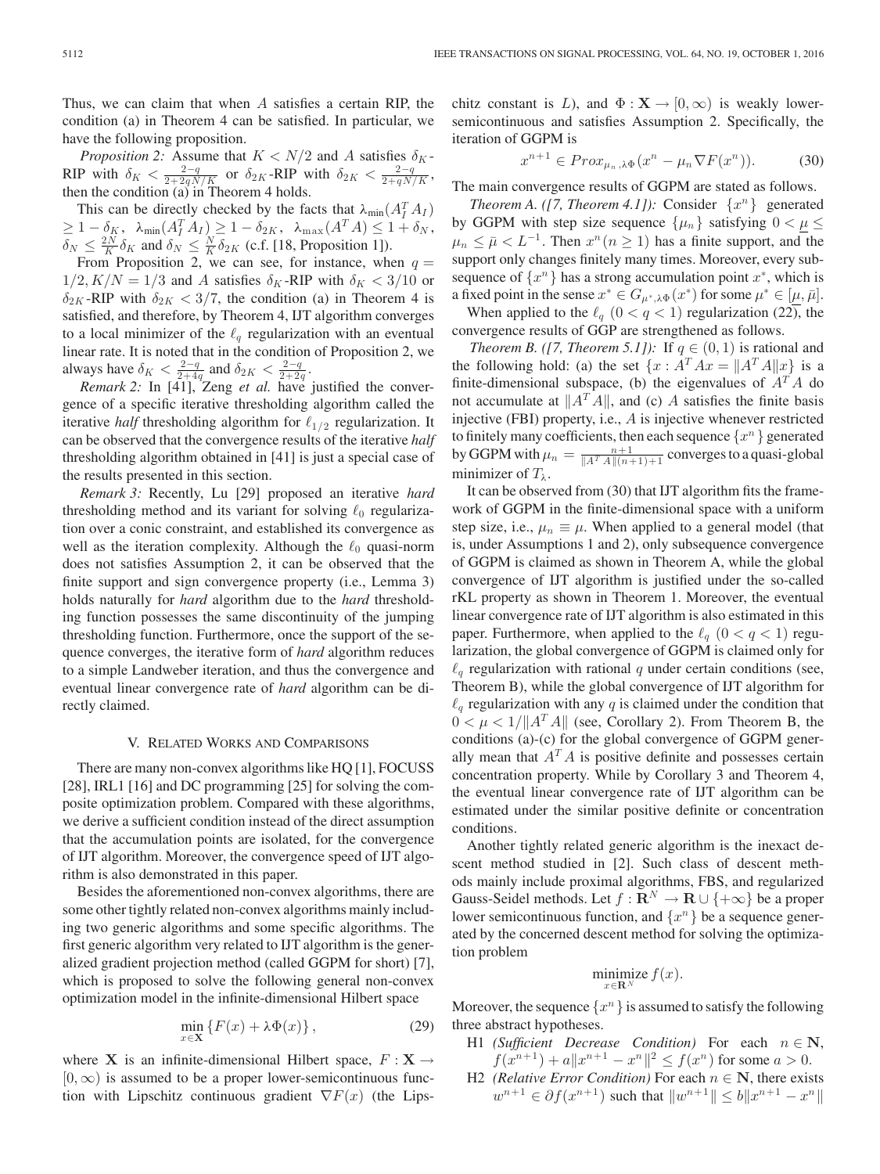*Proposition 2:* Assume that  $K < N/2$  and A satisfies  $\delta_K$ -RIP with  $\delta_K < \frac{2-q}{2+2qN/K}$  or  $\delta_{2K}$ -RIP with  $\delta_{2K} < \frac{2-q}{2+qN/K}$ , then the condition (a) in Theorem 4 holds.

This can be directly checked by the facts that  $\lambda_{\min}(A_I^T A_I)$  $\geq 1-\delta_K$ ,  $\lambda_{\min}(A_I^T A_I) \geq 1-\delta_{2K}$ ,  $\lambda_{\max}(A^T A) \leq 1+\delta_N$ ,  $\delta_N \leq \frac{2N}{K} \delta_K$  and  $\delta_N \leq \frac{N}{K} \delta_{2K}$  (c.f. [18, Proposition 1]).

From Proposition 2, we can see, for instance, when  $q =$  $1/2, K/N = 1/3$  and A satisfies  $\delta_K$ -RIP with  $\delta_K < 3/10$  or  $\delta_{2K}$ -RIP with  $\delta_{2K} < 3/7$ , the condition (a) in Theorem 4 is satisfied, and therefore, by Theorem 4, IJT algorithm converges to a local minimizer of the  $\ell_q$  regularization with an eventual linear rate. It is noted that in the condition of Proposition 2, we always have  $\delta_K < \frac{2-q}{2+4q}$  and  $\delta_{2K} < \frac{2-q}{2+2q}$ .

*Remark 2:* In [41], Zeng *et al.* have justified the convergence of a specific iterative thresholding algorithm called the iterative *half* thresholding algorithm for  $\ell_{1/2}$  regularization. It can be observed that the convergence results of the iterative *half* thresholding algorithm obtained in [41] is just a special case of the results presented in this section.

*Remark 3:* Recently, Lu [29] proposed an iterative *hard* thresholding method and its variant for solving  $\ell_0$  regularization over a conic constraint, and established its convergence as well as the iteration complexity. Although the  $\ell_0$  quasi-norm does not satisfies Assumption 2, it can be observed that the finite support and sign convergence property (i.e., Lemma 3) holds naturally for *hard* algorithm due to the *hard* thresholding function possesses the same discontinuity of the jumping thresholding function. Furthermore, once the support of the sequence converges, the iterative form of *hard* algorithm reduces to a simple Landweber iteration, and thus the convergence and eventual linear convergence rate of *hard* algorithm can be directly claimed.

## V. RELATED WORKS AND COMPARISONS

There are many non-convex algorithms like HQ [1], FOCUSS [28], IRL1 [16] and DC programming [25] for solving the composite optimization problem. Compared with these algorithms, we derive a sufficient condition instead of the direct assumption that the accumulation points are isolated, for the convergence of IJT algorithm. Moreover, the convergence speed of IJT algorithm is also demonstrated in this paper.

Besides the aforementioned non-convex algorithms, there are some other tightly related non-convex algorithms mainly including two generic algorithms and some specific algorithms. The first generic algorithm very related to IJT algorithm is the generalized gradient projection method (called GGPM for short) [7], which is proposed to solve the following general non-convex optimization model in the infinite-dimensional Hilbert space

$$
\min_{x \in \mathbf{X}} \left\{ F(x) + \lambda \Phi(x) \right\},\tag{29}
$$

where **X** is an infinite-dimensional Hilbert space,  $F : \mathbf{X} \to$  $[0, \infty)$  is assumed to be a proper lower-semicontinuous function with Lipschitz continuous gradient  $\nabla F(x)$  (the Lipschitz constant is L), and  $\Phi : \mathbf{X} \to [0, \infty)$  is weakly lowersemicontinuous and satisfies Assumption 2. Specifically, the iteration of GGPM is

$$
x^{n+1} \in Prox_{\mu_n, \lambda \Phi}(x^n - \mu_n \nabla F(x^n)). \tag{30}
$$

The main convergence results of GGPM are stated as follows.

*Theorem A. ([7, Theorem 4.1]):* Consider  $\{x^n\}$  generated by GGPM with step size sequence  $\{\mu_n\}$  satisfying  $0 < \mu \leq$  $\mu_n \leq \bar{\mu} < L^{-1}$ . Then  $x^n (n \geq 1)$  has a finite support, and the support only changes finitely many times. Moreover, every subsequence of  $\{x^n\}$  has a strong accumulation point  $x^*$ , which is a fixed point in the sense  $x^* \in G_{\mu^*,\lambda\Phi}(x^*)$  for some  $\mu^* \in [\mu,\bar{\mu}]$ . When applied to the  $\ell_q$   $(0 < q < 1)$  regularization (22), the

convergence results of GGP are strengthened as follows.

*Theorem B.* ([7, *Theorem 5.1]*): If  $q \in (0, 1)$  is rational and the following hold: (a) the set  $\{x : A^T A x = ||A^T A||x\}$  is a finite-dimensional subspace, (b) the eigenvalues of  $A<sup>T</sup>A$  do not accumulate at  $||A^T A||$ , and (c) A satisfies the finite basis injective (FBI) property, i.e., A is injective whenever restricted to finitely many coefficients, then each sequence  $\{x^n\}$  generated by GGPM with  $\mu_n = \frac{n+1}{\|A^T A\|(n+1)+1}$  converges to a quasi-global minimizer of  $T_{\lambda}$ .

It can be observed from (30) that IJT algorithm fits the framework of GGPM in the finite-dimensional space with a uniform step size, i.e.,  $\mu_n \equiv \mu$ . When applied to a general model (that is, under Assumptions 1 and 2), only subsequence convergence of GGPM is claimed as shown in Theorem A, while the global convergence of IJT algorithm is justified under the so-called rKL property as shown in Theorem 1. Moreover, the eventual linear convergence rate of IJT algorithm is also estimated in this paper. Furthermore, when applied to the  $\ell_q$   $(0 < q < 1)$  regularization, the global convergence of GGPM is claimed only for  $\ell_q$  regularization with rational q under certain conditions (see, Theorem B), while the global convergence of IJT algorithm for  $\ell_q$  regularization with any q is claimed under the condition that  $0 < \mu < 1/||A^T A||$  (see, Corollary 2). From Theorem B, the conditions (a)-(c) for the global convergence of GGPM generally mean that  $A<sup>T</sup>A$  is positive definite and possesses certain concentration property. While by Corollary 3 and Theorem 4, the eventual linear convergence rate of IJT algorithm can be estimated under the similar positive definite or concentration conditions.

Another tightly related generic algorithm is the inexact descent method studied in [2]. Such class of descent methods mainly include proximal algorithms, FBS, and regularized Gauss-Seidel methods. Let  $f : \mathbb{R}^N \to \mathbb{R} \cup \{+\infty\}$  be a proper lower semicontinuous function, and  $\{x^n\}$  be a sequence generated by the concerned descent method for solving the optimization problem

$$
\underset{x \in \mathbf{R}^N}{\text{minimize}} f(x).
$$

Moreover, the sequence  $\{x^n\}$  is assumed to satisfy the following three abstract hypotheses.

- H1 *(Sufficient Decrease Condition)* For each  $n \in \mathbb{N}$ ,  $f(x^{n+1}) + a||x^{n+1} - x^n||^2 \le f(x^n)$  for some  $a > 0$ .
- H2 *(Relative Error Condition)* For each  $n \in \mathbb{N}$ , there exists  $w^{n+1} \in \partial f(x^{n+1})$  such that  $||w^{n+1}|| \le b||x^{n+1} - x^n||$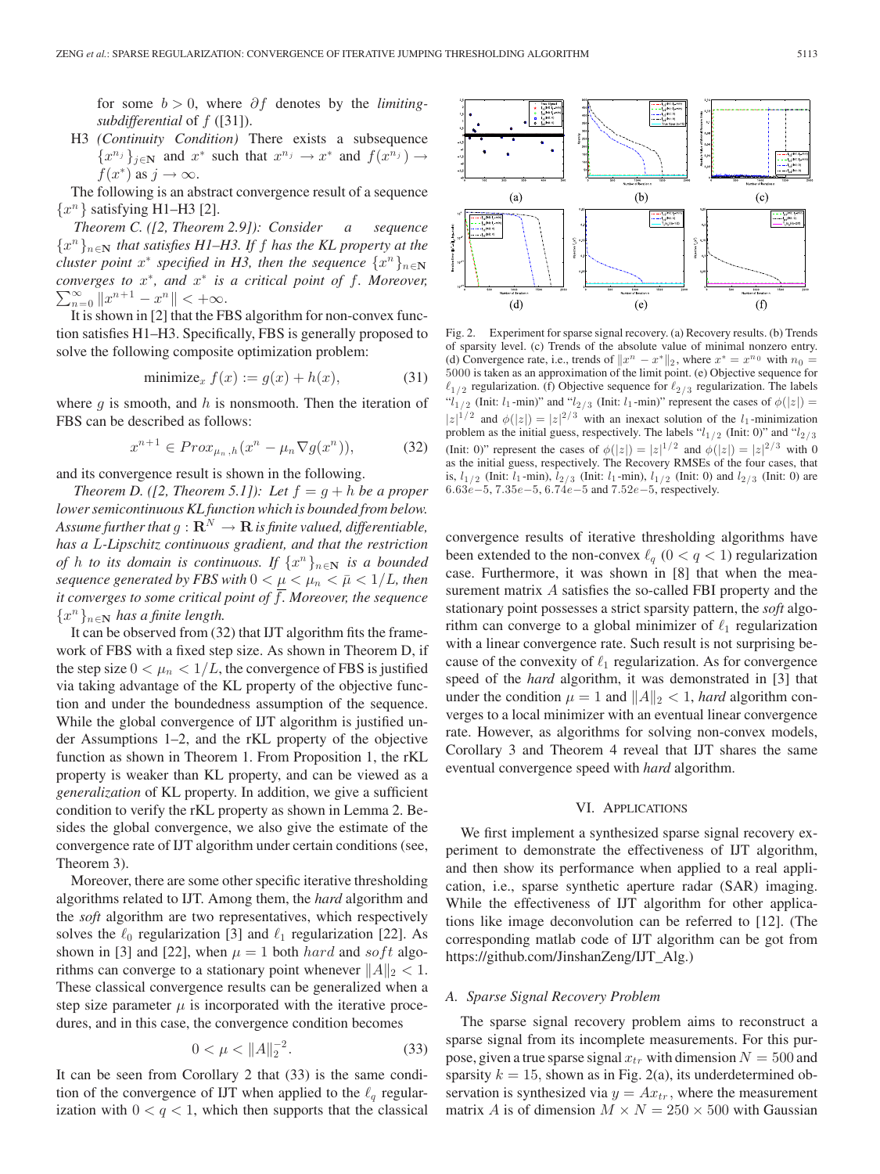for some b > 0, where ∂f denotes by the *limitingsubdifferential* of f ([31]).

H3 *(Continuity Condition)* There exists a subsequence  ${x^{n_j}}_{j \in \mathbb{N}}$  and  $x^*$  such that  $x^{n_j} \to x^*$  and  $f(x^{n_j}) \to$  $f(x^*)$  as  $j \to \infty$ .

The following is an abstract convergence result of a sequence  $\{x^n\}$  satisfying H1–H3 [2].

*Theorem C. ([2, Theorem 2.9]): Consider a sequence* {xn }<sup>n</sup>∈**<sup>N</sup>** *that satisfies H1–H3. If* f *has the KL property at the cluster point*  $x^*$  *specified in H3, then the sequence*  $\{x^n\}_{n\in\mathbb{N}}$ *converges to*  $x^*$ *, and*  $x^*$  *is a critical point of f. Moreover,*  $\sum_{n=1}^{\infty}$   $\binom{n+1}{n}$   $\leq$   $\sum_{n=1}^{\infty}$  $\sum_{n=0}^{\infty} \|x^{n+1} - x^n\| < +\infty.$ 

It is shown in [2] that the FBS algorithm for non-convex function satisfies H1–H3. Specifically, FBS is generally proposed to solve the following composite optimization problem:

$$
\text{minimize}_x f(x) := g(x) + h(x),\tag{31}
$$

where  $q$  is smooth, and  $h$  is nonsmooth. Then the iteration of FBS can be described as follows:

$$
x^{n+1} \in Prox_{\mu_n, h}(x^n - \mu_n \nabla g(x^n)), \tag{32}
$$

and its convergence result is shown in the following.

*Theorem D.* ([2, *Theorem 5.1]): Let*  $f = g + h$  *be a proper lower semicontinuous KL function which is bounded from below.* Assume further that  $g: \mathbf{R}^N \to \mathbf{R}$  is finite valued, differentiable, *has a* L*-Lipschitz continuous gradient, and that the restriction of* h *to its domain is continuous. If*  $\{x^n\}_{n\in\mathbb{N}}$  *is a bounded sequence generated by FBS with*  $0 < \mu < \mu_n < \bar{\mu} < 1/L$ , then *it converges to some critical point of* f*. Moreover, the sequence* {xn }<sup>n</sup>∈**<sup>N</sup>** *has a finite length.*

It can be observed from (32) that IJT algorithm fits the framework of FBS with a fixed step size. As shown in Theorem D, if the step size  $0 < \mu_n < 1/L$ , the convergence of FBS is justified via taking advantage of the KL property of the objective function and under the boundedness assumption of the sequence. While the global convergence of IJT algorithm is justified under Assumptions 1–2, and the rKL property of the objective function as shown in Theorem 1. From Proposition 1, the rKL property is weaker than KL property, and can be viewed as a *generalization* of KL property. In addition, we give a sufficient condition to verify the rKL property as shown in Lemma 2. Besides the global convergence, we also give the estimate of the convergence rate of IJT algorithm under certain conditions (see, Theorem 3).

Moreover, there are some other specific iterative thresholding algorithms related to IJT. Among them, the *hard* algorithm and the *soft* algorithm are two representatives, which respectively solves the  $\ell_0$  regularization [3] and  $\ell_1$  regularization [22]. As shown in [3] and [22], when  $\mu = 1$  both *hard* and *soft* algorithms can converge to a stationary point whenever  $||A||_2 < 1$ . These classical convergence results can be generalized when a step size parameter  $\mu$  is incorporated with the iterative procedures, and in this case, the convergence condition becomes

$$
0 < \mu < \|A\|_2^{-2}.\tag{33}
$$

It can be seen from Corollary 2 that (33) is the same condition of the convergence of IJT when applied to the  $\ell_q$  regularization with  $0 < q < 1$ , which then supports that the classical



Fig. 2. Experiment for sparse signal recovery. (a) Recovery results. (b) Trends of sparsity level. (c) Trends of the absolute value of minimal nonzero entry. (d) Convergence rate, i.e., trends of  $||x^n - x^*||_2$ , where  $x^* = x^{n_0}$  with  $n_0 =$ 5000 is taken as an approximation of the limit point. (e) Objective sequence for  $\ell_{1/2}$  regularization. (f) Objective sequence for  $\ell_{2/3}$  regularization. The labels " $l_{1/2}$  (Init:  $l_1$ -min)" and " $l_{2/3}$  (Init:  $l_1$ -min)" represent the cases of  $\phi(|z|) =$  $|z|^{1/2}$  and  $\phi(|z|) = |z|^{2/3}$  with an inexact solution of the  $l_1$ -minimization problem as the initial guess, respectively. The labels " $l_{1/2}$  (Init: 0)" and " $l_{2/3}$ (Init: 0)" represent the cases of  $\phi(|z|) = |z|^{1/2}$  and  $\phi(|z|) = |z|^{2/3}$  with 0 as the initial guess, respectively. The Recovery RMSEs of the four cases, that is,  $l_{1/2}$  (Init:  $l_1$ -min),  $l_{2/3}$  (Init:  $l_1$ -min),  $l_{1/2}$  (Init: 0) and  $l_{2/3}$  (Init: 0) are 6.63e−5, 7.35e−5, 6.74e−5 and 7.52e−5, respectively.

convergence results of iterative thresholding algorithms have been extended to the non-convex  $\ell_q$  ( $0 < q < 1$ ) regularization case. Furthermore, it was shown in [8] that when the measurement matrix A satisfies the so-called FBI property and the stationary point possesses a strict sparsity pattern, the *soft* algorithm can converge to a global minimizer of  $\ell_1$  regularization with a linear convergence rate. Such result is not surprising because of the convexity of  $\ell_1$  regularization. As for convergence speed of the *hard* algorithm, it was demonstrated in [3] that under the condition  $\mu = 1$  and  $||A||_2 < 1$ , *hard* algorithm converges to a local minimizer with an eventual linear convergence rate. However, as algorithms for solving non-convex models, Corollary 3 and Theorem 4 reveal that IJT shares the same eventual convergence speed with *hard* algorithm.

# VI. APPLICATIONS

We first implement a synthesized sparse signal recovery experiment to demonstrate the effectiveness of IJT algorithm, and then show its performance when applied to a real application, i.e., sparse synthetic aperture radar (SAR) imaging. While the effectiveness of IJT algorithm for other applications like image deconvolution can be referred to [12]. (The corresponding matlab code of IJT algorithm can be got from [https://github.com/JinshanZeng/IJT\\_Alg.](https://github.com/JinshanZeng/IJT_Alg))

#### *A. Sparse Signal Recovery Problem*

The sparse signal recovery problem aims to reconstruct a sparse signal from its incomplete measurements. For this purpose, given a true sparse signal  $x_{tr}$  with dimension  $N = 500$  and sparsity  $k = 15$ , shown as in Fig. 2(a), its underdetermined observation is synthesized via  $y = Ax_{tr}$ , where the measurement matrix A is of dimension  $M \times N = 250 \times 500$  with Gaussian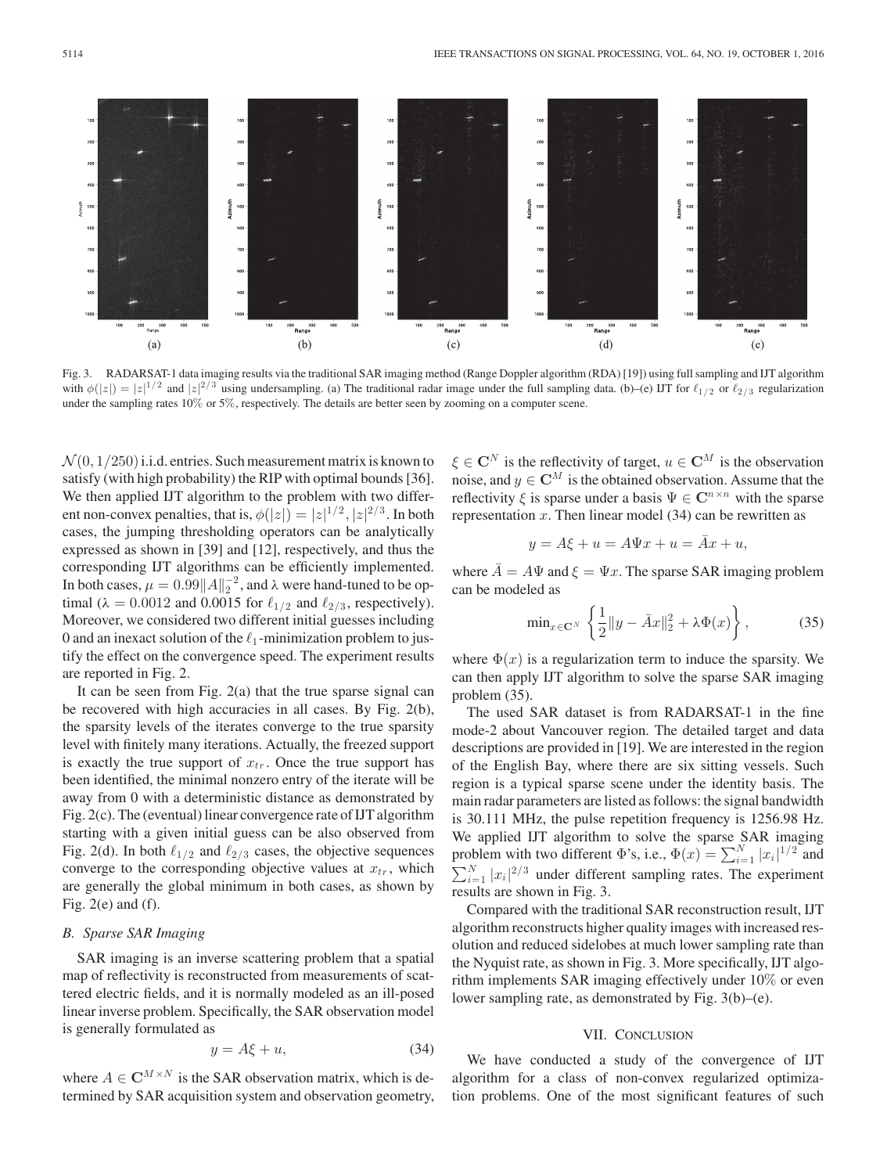Fig. 3. RADARSAT-1 data imaging results via the traditional SAR imaging method (Range Doppler algorithm (RDA) [19]) using full sampling and IJT algorithm with  $\phi(|z|) = |z|^{1/2}$  and  $|z|^{2/3}$  using undersampling. (a) The traditional radar image under the full sampling data. (b)–(e) IJT for  $\ell_{1/2}$  or  $\ell_{2/3}$  regularization under the sampling rates 10% or 5%, respectively. The details are better seen by zooming on a computer scene.

 $\mathcal{N}(0, 1/250)$  i.i.d. entries. Such measurement matrix is known to satisfy (with high probability) the RIP with optimal bounds [36]. We then applied IJT algorithm to the problem with two different non-convex penalties, that is,  $\phi(|z|) = |z|^{1/2}, |z|^{2/3}$ . In both cases, the jumping thresholding operators can be analytically expressed as shown in [39] and [12], respectively, and thus the corresponding IJT algorithms can be efficiently implemented. In both cases,  $\mu = 0.99||A||_2^{-2}$ , and  $\lambda$  were hand-tuned to be optimal ( $\lambda = 0.0012$  and 0.0015 for  $\ell_{1/2}$  and  $\ell_{2/3}$ , respectively). Moreover, we considered two different initial guesses including 0 and an inexact solution of the  $\ell_1$ -minimization problem to justify the effect on the convergence speed. The experiment results are reported in Fig. 2.

It can be seen from Fig. 2(a) that the true sparse signal can be recovered with high accuracies in all cases. By Fig. 2(b), the sparsity levels of the iterates converge to the true sparsity level with finitely many iterations. Actually, the freezed support is exactly the true support of  $x_{tr}$ . Once the true support has been identified, the minimal nonzero entry of the iterate will be away from 0 with a deterministic distance as demonstrated by Fig. 2(c). The (eventual) linear convergence rate of IJT algorithm starting with a given initial guess can be also observed from Fig. 2(d). In both  $\ell_{1/2}$  and  $\ell_{2/3}$  cases, the objective sequences converge to the corresponding objective values at  $x_{tr}$ , which are generally the global minimum in both cases, as shown by Fig.  $2(e)$  and  $(f)$ .

## *B. Sparse SAR Imaging*

SAR imaging is an inverse scattering problem that a spatial map of reflectivity is reconstructed from measurements of scattered electric fields, and it is normally modeled as an ill-posed linear inverse problem. Specifically, the SAR observation model is generally formulated as

$$
y = A\xi + u,\tag{34}
$$

where  $A \in \mathbb{C}^{M \times N}$  is the SAR observation matrix, which is determined by SAR acquisition system and observation geometry,  $\xi \in \mathbb{C}^N$  is the reflectivity of target,  $u \in \mathbb{C}^M$  is the observation noise, and  $y \in \mathbb{C}^M$  is the obtained observation. Assume that the reflectivity  $\xi$  is sparse under a basis  $\Psi \in \mathbb{C}^{n \times n}$  with the sparse representation  $x$ . Then linear model (34) can be rewritten as

$$
y = A\xi + u = A\Psi x + u = \bar{A}x + u,
$$

where  $\overline{A} = A\Psi$  and  $\xi = \Psi x$ . The sparse SAR imaging problem can be modeled as

$$
\min_{x \in \mathbf{C}^N} \left\{ \frac{1}{2} \|y - \bar{A}x\|_2^2 + \lambda \Phi(x) \right\},\tag{35}
$$

where  $\Phi(x)$  is a regularization term to induce the sparsity. We can then apply IJT algorithm to solve the sparse SAR imaging problem (35).

The used SAR dataset is from RADARSAT-1 in the fine mode-2 about Vancouver region. The detailed target and data descriptions are provided in [19]. We are interested in the region of the English Bay, where there are six sitting vessels. Such region is a typical sparse scene under the identity basis. The main radar parameters are listed as follows: the signal bandwidth is 30.111 MHz, the pulse repetition frequency is 1256.98 Hz. We applied IJT algorithm to solve the sparse SAR imaging problem with two different  $\Phi$ 's, i.e.,  $\Phi(x) = \sum_{i=1}^{N} |x_i|^{1/2}$  and  $\sum_{i=1}^{N} |x_i|^{2/3}$  under different sampling rates. The experiment results are shown in Fig. 3.

Compared with the traditional SAR reconstruction result, IJT algorithm reconstructs higher quality images with increased resolution and reduced sidelobes at much lower sampling rate than the Nyquist rate, as shown in Fig. 3. More specifically, IJT algorithm implements SAR imaging effectively under 10% or even lower sampling rate, as demonstrated by Fig. 3(b)–(e).

## VII. CONCLUSION

We have conducted a study of the convergence of IJT algorithm for a class of non-convex regularized optimization problems. One of the most significant features of such

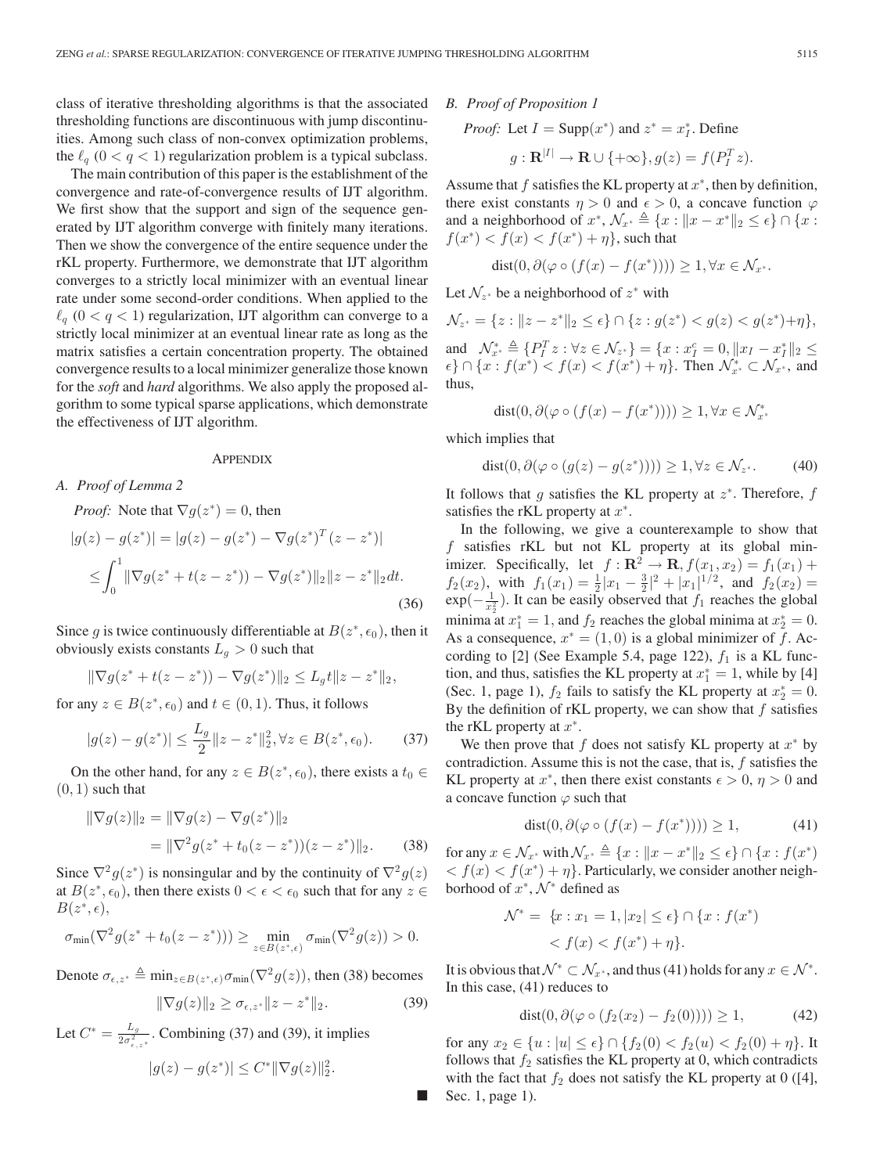class of iterative thresholding algorithms is that the associated thresholding functions are discontinuous with jump discontinuities. Among such class of non-convex optimization problems, the  $\ell_q$  ( $0 < q < 1$ ) regularization problem is a typical subclass.

The main contribution of this paper is the establishment of the convergence and rate-of-convergence results of IJT algorithm. We first show that the support and sign of the sequence generated by IJT algorithm converge with finitely many iterations. Then we show the convergence of the entire sequence under the rKL property. Furthermore, we demonstrate that IJT algorithm converges to a strictly local minimizer with an eventual linear rate under some second-order conditions. When applied to the  $\ell_q$  ( $0 < q < 1$ ) regularization, IJT algorithm can converge to a strictly local minimizer at an eventual linear rate as long as the matrix satisfies a certain concentration property. The obtained convergence results to a local minimizer generalize those known for the *soft* and *hard* algorithms. We also apply the proposed algorithm to some typical sparse applications, which demonstrate the effectiveness of IJT algorithm.

#### **APPENDIX**

## *A. Proof of Lemma 2*

*Proof:* Note that  $\nabla g(z^*)=0$ , then  $|g(z) - g(z^*)| = |g(z) - g(z^*) - \nabla g(z^*)^T (z - z^*)|$  $\leq \int_0^1$  $\int_0^{\pi} \|\nabla g(z^* + t(z-z^*)) - \nabla g(z^*)\|_2 \|z-z^*\|_2 dt.$ (36)

Since g is twice continuously differentiable at  $B(z^*, \epsilon_0)$ , then it obviously exists constants  $L_q > 0$  such that

$$
\|\nabla g(z^* + t(z - z^*)) - \nabla g(z^*)\|_2 \le L_g t \|z - z^*\|_2,
$$

for any  $z \in B(z^*, \epsilon_0)$  and  $t \in (0, 1)$ . Thus, it follows

$$
|g(z) - g(z^*)| \le \frac{L_g}{2} \|z - z^*\|_2^2, \forall z \in B(z^*, \epsilon_0). \tag{37}
$$

On the other hand, for any  $z \in B(z^*, \epsilon_0)$ , there exists a  $t_0 \in$  $(0, 1)$  such that

$$
\|\nabla g(z)\|_2 = \|\nabla g(z) - \nabla g(z^*)\|_2
$$
  
= 
$$
\|\nabla^2 g(z^* + t_0(z - z^*)) (z - z^*)\|_2.
$$
 (38)

Since  $\nabla^2 g(z^*)$  is nonsingular and by the continuity of  $\nabla^2 g(z)$ at  $B(z^*, \epsilon_0)$ , then there exists  $0 < \epsilon < \epsilon_0$  such that for any  $z \in$  $B(z^*,\epsilon),$ 

$$
\sigma_{\min}(\nabla^2 g(z^* + t_0(z - z^*))) \geq \min_{z \in B(z^*, \epsilon)} \sigma_{\min}(\nabla^2 g(z)) > 0.
$$

Denote  $\sigma_{\epsilon,z^*} \triangleq \min_{z \in B(z^*,\epsilon)} \sigma_{\min}(\nabla^2 g(z))$ , then (38) becomes

$$
\|\nabla g(z)\|_2 \ge \sigma_{\epsilon, z^*} \|z - z^*\|_2. \tag{39}
$$

Ō

Let  $C^* = \frac{L_g}{2\sigma_{\epsilon,z^*}^2}$ . Combining (37) and (39), it implies

$$
|g(z) - g(z^*)| \le C^* ||\nabla g(z)||_2^2.
$$

*B. Proof of Proposition 1*

*Proof:* Let  $I = \text{Supp}(x^*)$  and  $z^* = x_I^*$ . Define

$$
g: \mathbf{R}^{|I|} \to \mathbf{R} \cup \{+\infty\}, g(z) = f(P_I^T z).
$$

Assume that f satisfies the KL property at  $x^*$ , then by definition, there exist constants  $\eta > 0$  and  $\epsilon > 0$ , a concave function  $\varphi$ and a neighborhood of  $x^*, \mathcal{N}_{x^*} \triangleq \{x : ||x - x^*||_2 \le \epsilon\} \cap \{x :$  $f(x^*) < f(x) < f(x^*) + \eta$ , such that

$$
\text{dist}(0, \partial(\varphi \circ (f(x) - f(x^*)))) \ge 1, \forall x \in \mathcal{N}_{x^*}.
$$

Let  $\mathcal{N}_{z^*}$  be a neighborhood of  $z^*$  with

 $\mathcal{N}_{z^*} = \{z : ||z - z^*||_2 \le \epsilon\} \cap \{z : g(z^*) < g(z) < g(z^*) + \eta\},\$ and  $\mathcal{N}_{x^*}^* \triangleq \{P_I^T z : \forall z \in \mathcal{N}_{z^*}\} = \{x : x_I^c = 0, \|x_I - x_I^*\|_2 \le$  $\{\epsilon\} \cap \{x : f(x^*) < f(x) < f(x^*) + \eta\}.$  Then  $\mathcal{N}_{x^*}^* \subset \mathcal{N}_{x^*}$ , and

$$
dist(0, \partial(\varphi \circ (f(x) - f(x^*)))) \ge 1, \forall x \in \mathcal{N}_{x^*}^*
$$

which implies that

thus,

$$
dist(0, \partial(\varphi \circ (g(z) - g(z^*)))) \ge 1, \forall z \in \mathcal{N}_{z^*}.
$$
 (40)

It follows that g satisfies the KL property at  $z^*$ . Therefore, f satisfies the rKL property at  $x^*$ .

In the following, we give a counterexample to show that f satisfies rKL but not KL property at its global minimizer. Specifically, let  $f : \mathbf{R}^2 \to \mathbf{R}$ ,  $f(x_1, x_2) = f_1(x_1) +$  $f_2(x_2)$ , with  $f_1(x_1) = \frac{1}{2}|x_1 - \frac{3}{2}|^2 + |x_1|^{1/2}$ , and  $f_2(x_2) =$  $exp(-\frac{1}{x_2^2})$ . It can be easily observed that  $f_1$  reaches the global minima at  $x_1^* = 1$ , and  $f_2$  reaches the global minima at  $x_2^* = 0$ . As a consequence,  $x^* = (1, 0)$  is a global minimizer of f. According to [2] (See Example 5.4, page 122),  $f_1$  is a KL function, and thus, satisfies the KL property at  $x_1^* = 1$ , while by [4] (Sec. 1, page 1),  $f_2$  fails to satisfy the KL property at  $x_2^* = 0$ . By the definition of rKL property, we can show that  $f$  satisfies the rKL property at  $x^*$ .

We then prove that f does not satisfy KL property at  $x^*$  by contradiction. Assume this is not the case, that is, f satisfies the KL property at  $x^*$ , then there exist constants  $\epsilon > 0$ ,  $\eta > 0$  and a concave function  $\varphi$  such that

$$
dist(0, \partial(\varphi \circ (f(x) - f(x^*)))) \ge 1,
$$
 (41)

for any  $x \in \mathcal{N}_{x^*}$  with  $\mathcal{N}_{x^*} \triangleq \{x : ||x - x^*||_2 \le \epsilon\} \cap \{x : f(x^*)\}$  $\langle f(x) \rangle \langle f(x^*) + \eta \rangle$ . Particularly, we consider another neighborhood of  $x^*$ ,  $\mathcal{N}^*$  defined as

$$
\mathcal{N}^* = \{x : x_1 = 1, |x_2| \le \epsilon\} \cap \{x : f(x^*)
$$
  
< 
$$
< f(x) < f(x^*) + \eta\}.
$$

It is obvious that  $\mathcal{N}^* \subset \mathcal{N}_{x^*}$ , and thus (41) holds for any  $x \in \mathcal{N}^*$ . In this case, (41) reduces to

$$
dist(0, \partial(\varphi \circ (f_2(x_2) - f_2(0)))) \ge 1, \tag{42}
$$

for any  $x_2 \in \{u : |u| \leq \epsilon\} \cap \{f_2 (0) < f_2 (u) < f_2 (0) + \eta\}$ . It follows that  $f_2$  satisfies the KL property at 0, which contradicts with the fact that  $f_2$  does not satisfy the KL property at 0 ([4], Sec. 1, page 1).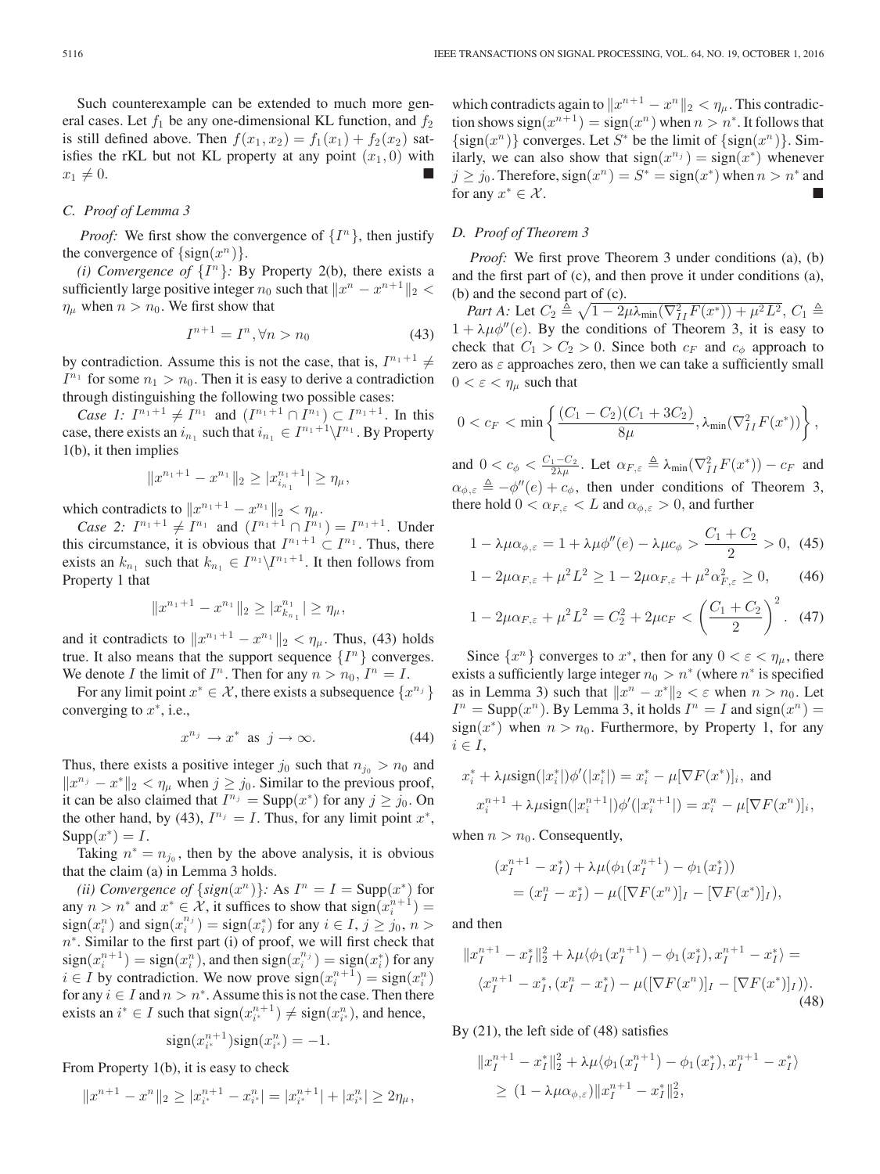Such counterexample can be extended to much more general cases. Let  $f_1$  be any one-dimensional KL function, and  $f_2$ is still defined above. Then  $f(x_1, x_2) = f_1(x_1) + f_2(x_2)$  satisfies the rKL but not KL property at any point  $(x_1, 0)$  with  $x_1 \neq 0.$ 

## *C. Proof of Lemma 3*

*Proof:* We first show the convergence of  $\{I^n\}$ , then justify the convergence of  $\{\text{sign}(x^n)\}.$ 

*(i) Convergence of*  $\{I^n\}$ : By Property 2(b), there exists a sufficiently large positive integer  $n_0$  such that  $\|x^n - x^{n+1}\|_2$  $\eta_{\mu}$  when  $n>n_0$ . We first show that

$$
I^{n+1} = I^n, \forall n > n_0 \tag{43}
$$

by contradiction. Assume this is not the case, that is,  $I^{n_1+1} \neq I$  $I^{n_1}$  for some  $n_1 > n_0$ . Then it is easy to derive a contradiction through distinguishing the following two possible cases:

*Case 1:*  $I^{n_1+1} \neq I^{n_1}$  and  $(I^{n_1+1} \cap I^{n_1}) \subset I^{n_1+1}$ . In this case, there exists an  $i_{n_1}$  such that  $i_{n_1} \in I^{n_1+1}\backslash I^{n_1}$ . By Property 1(b), it then implies

$$
||x^{n_1+1}-x^{n_1}||_2 \geq |x^{n_1+1}_{i_{n_1}}| \geq \eta_{\mu},
$$

which contradicts to  $||x^{n_1+1} - x^{n_1}||_2 < \eta_\mu$ .

*Case 2:*  $I^{n_1+1} \neq I^{n_1}$  and  $(I^{n_1+1} \cap I^{n_1}) = I^{n_1+1}$ . Under this circumstance, it is obvious that  $I^{n_1+1} \subset I^{n_1}$ . Thus, there exists an  $k_{n_1}$  such that  $k_{n_1} \in I^{n_1} \backslash I^{n_1+1}$ . It then follows from Property 1 that

$$
||x^{n_1+1}-x^{n_1}||_2 \geq |x^{n_1}_{k_{n_1}}| \geq \eta_{\mu},
$$

and it contradicts to  $||x^{n_1+1} - x^{n_1}||_2 < \eta_\mu$ . Thus, (43) holds true. It also means that the support sequence  $\{I^n\}$  converges. We denote I the limit of  $I^n$ . Then for any  $n>n_0$ ,  $I^n=I$ .

For any limit point  $x^* \in \mathcal{X}$ , there exists a subsequence  $\{x^{n_j}\}\$ converging to  $x^*$ , i.e.,

$$
x^{n_j} \to x^* \text{ as } j \to \infty. \tag{44}
$$

Thus, there exists a positive integer  $j_0$  such that  $n_{j_0} > n_0$  and  $||x^{n_j} - x^*||_2 < \eta_\mu$  when  $j \ge j_0$ . Similar to the previous proof, it can be also claimed that  $I^{n_j} = \text{Supp}(x^*)$  for any  $j \ge j_0$ . On the other hand, by (43),  $I^{n_j} = I$ . Thus, for any limit point  $x^*$ ,  $\text{Supp}(x^*)=I.$ 

Taking  $n^* = n_{j_0}$ , then by the above analysis, it is obvious that the claim (a) in Lemma 3 holds.

*(ii) Convergence of*  $\{sign(x^n)\}$ *:* As  $I^n = I = Supp(x^*)$  for any  $n > n^*$  and  $x^* \in \mathcal{X}$ , it suffices to show that  $sign(x_i^{n+1}) =$ sign $(x_i^n)$  and sign $(x_i^{n_j}) = \text{sign}(x_i^*)$  for any  $i \in I$ ,  $j \geq j_0$ ,  $n > j$  $n<sup>*</sup>$ . Similar to the first part (i) of proof, we will first check that  $sign(x_i^{n+1}) = sign(x_i^n)$ , and then  $sign(x_i^{n_j}) = sign(x_i^*)$  for any  $i \in I$  by contradiction. We now prove  $sign(x_i^{n+1}) = sign(x_i^n)$ for any  $i \in I$  and  $n > n^*$ . Assume this is not the case. Then there exists an  $i^* \in I$  such that  $sign(x_{i^*}^{n+1}) \neq sign(x_{i^*}^n)$ , and hence,

$$
\operatorname{sign}(x_{i^*}^{n+1})\operatorname{sign}(x_{i^*}^n)=-1.
$$

From Property 
$$
1(b)
$$
, it is easy to check

$$
||x^{n+1} - x^n||_2 \ge |x_{i^*}^{n+1} - x_{i^*}^n| = |x_{i^*}^{n+1}| + |x_{i^*}^n| \ge 2\eta_\mu,
$$

which contradicts again to  $||x^{n+1} - x^n||_2 < \eta_\mu$ . This contradiction shows sign $(x^{n+1}) = sign(x^n)$  when  $n > n^*$ . It follows that  $\{\text{sign}(x^n)\}\)$  converges. Let S<sup>\*</sup> be the limit of  $\{\text{sign}(x^n)\}\)$ . Similarly, we can also show that  $sign(x^{n_j}) = sign(x^*)$  whenever  $j \ge j_0$ . Therefore,  $sign(x^n) = S^* = sign(x^*)$  when  $n > n^*$  and for any  $x^* \in \mathcal{X}$ .

## *D. Proof of Theorem 3*

*Proof:* We first prove Theorem 3 under conditions (a), (b) and the first part of (c), and then prove it under conditions (a), (b) and the second part of (c).

*Part A:* Let  $C_2 \triangleq \sqrt{1 - 2\mu\lambda_{\min}(\nabla_{II}^2 F(x^*)) + \mu^2 L^2}$ ,  $C_1 \triangleq$  $1 + \lambda \mu \phi''(e)$ . By the conditions of Theorem 3, it is easy to check that  $C_1 > C_2 > 0$ . Since both  $c_F$  and  $c_{\phi}$  approach to zero as  $\varepsilon$  approaches zero, then we can take a sufficiently small  $0 < \varepsilon < \eta_\mu$  such that

$$
0 < c_F < \min \left\{ \frac{(C_1 - C_2)(C_1 + 3C_2)}{8\mu}, \lambda_{\min}(\nabla_{II}^2 F(x^*)) \right\},\,
$$

and  $0 < c_{\phi} < \frac{C_1 - C_2}{2\lambda \mu}$ . Let  $\alpha_{F,\varepsilon} \triangleq \lambda_{\min}(\nabla_{II}^2 F(x^*)) - c_F$  and  $\alpha_{\phi,\varepsilon} \triangleq -\phi''(e) + c_{\phi}$ , then under conditions of Theorem 3, there hold  $0 < \alpha_{F,\varepsilon} < L$  and  $\alpha_{\phi,\varepsilon} > 0$ , and further

$$
1 - \lambda \mu \alpha_{\phi,\varepsilon} = 1 + \lambda \mu \phi''(e) - \lambda \mu c_{\phi} > \frac{C_1 + C_2}{2} > 0, \tag{45}
$$

$$
1 - 2\mu\alpha_{F,\varepsilon} + \mu^2 L^2 \ge 1 - 2\mu\alpha_{F,\varepsilon} + \mu^2 \alpha_{F,\varepsilon}^2 \ge 0, \qquad (46)
$$

$$
1 - 2\mu\alpha_{F,\varepsilon} + \mu^2 L^2 = C_2^2 + 2\mu c_F < \left(\frac{C_1 + C_2}{2}\right)^2. \tag{47}
$$

Since  $\{x^n\}$  converges to  $x^*$ , then for any  $0 < \varepsilon < \eta_\mu$ , there exists a sufficiently large integer  $n_0 > n^*$  (where  $n^*$  is specified as in Lemma 3) such that  $||x^n - x^*||_2 < \varepsilon$  when  $n > n_0$ . Let  $I^n = \text{Supp}(x^n)$ . By Lemma 3, it holds  $I^n = I$  and  $\text{sign}(x^n) =$ sign( $x^*$ ) when  $n>n_0$ . Furthermore, by Property 1, for any  $i \in I$ ,

$$
x_i^* + \lambda \mu \text{sign}(|x_i^*|) \phi'(|x_i^*|) = x_i^* - \mu [\nabla F(x^*)]_i, \text{ and}
$$
  

$$
x_i^{n+1} + \lambda \mu \text{sign}(|x_i^{n+1}|) \phi'(|x_i^{n+1}|) = x_i^n - \mu [\nabla F(x^n)]_i,
$$

when  $n>n_0$ . Consequently,

$$
(x_I^{n+1} - x_I^*) + \lambda \mu (\phi_1(x_I^{n+1}) - \phi_1(x_I^*))
$$
  
=  $(x_I^n - x_I^*) - \mu ([\nabla F(x^n)]_I - [\nabla F(x^*)]_I),$ 

and then

$$
||x_I^{n+1} - x_I^*||_2^2 + \lambda \mu \langle \phi_1(x_I^{n+1}) - \phi_1(x_I^*), x_I^{n+1} - x_I^* \rangle =
$$
  

$$
\langle x_I^{n+1} - x_I^*, (x_I^n - x_I^*) - \mu ([\nabla F(x^n)]_I - [\nabla F(x^*)]_I) \rangle.
$$
  
(48)

By (21), the left side of (48) satisfies

$$
\|x_I^{n+1} - x_I^*\|_2^2 + \lambda \mu \langle \phi_1(x_I^{n+1}) - \phi_1(x_I^*), x_I^{n+1} - x_I^* \rangle
$$
  
\n
$$
\geq (1 - \lambda \mu \alpha_{\phi,\varepsilon}) \|x_I^{n+1} - x_I^*\|_2^2,
$$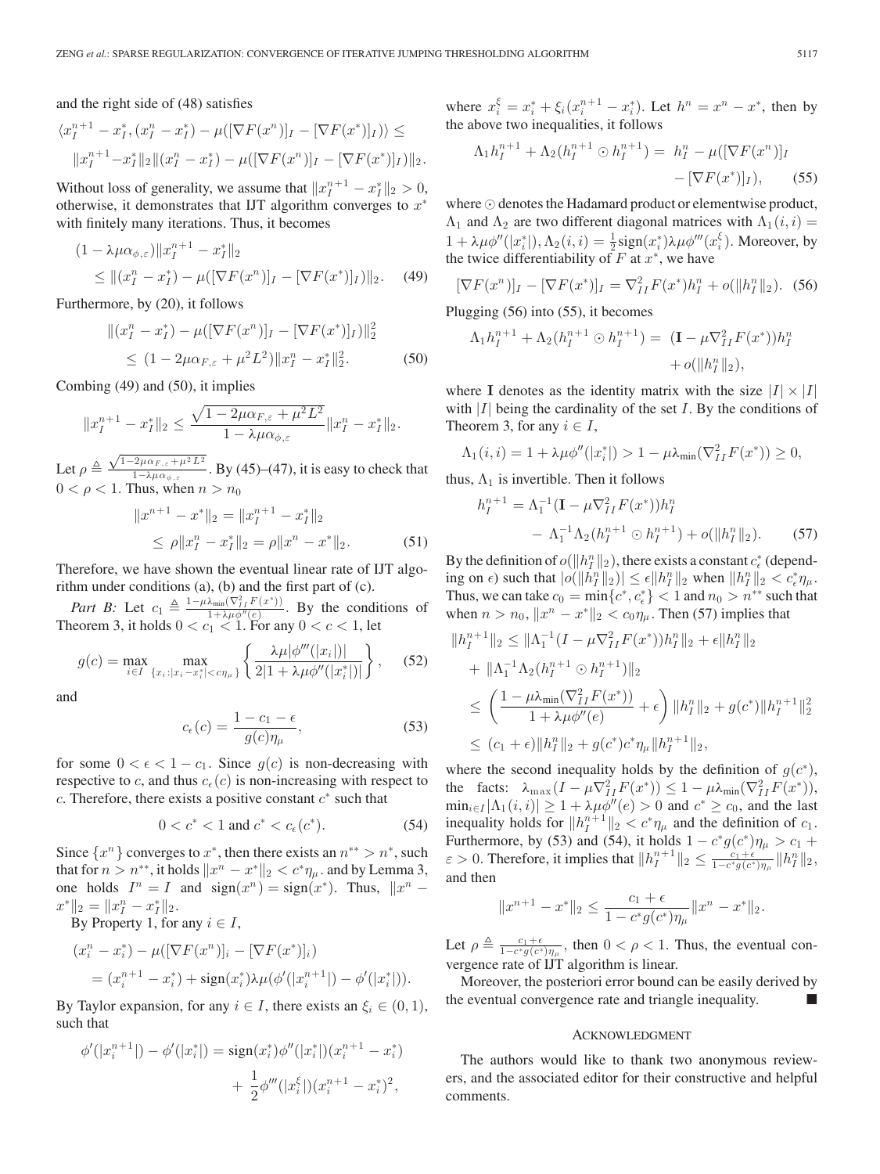and the right side of (48) satisfies

$$
\langle x_I^{n+1} - x_I^*, (x_I^n - x_I^*) - \mu([\nabla F(x^n)]_I - [\nabla F(x^*)]_I) \rangle \le
$$
  

$$
||x_I^{n+1} - x_I^*||_2 ||(x_I^n - x_I^*) - \mu([\nabla F(x^n)]_I - [\nabla F(x^*)]_I) ||_2.
$$

Without loss of generality, we assume that  $||x_I^{n+1} - x_I^*||_2 > 0$ , otherwise, it demonstrates that IJT algorithm converges to  $x^*$ with finitely many iterations. Thus, it becomes

$$
(1 - \lambda \mu \alpha_{\phi, \varepsilon}) \|x_I^{n+1} - x_I^*\|_2
$$
  
\$\leq \| (x\_I^n - x\_I^\*) - \mu([\nabla F(x^n)]\_I - [\nabla F(x^\*)]\_I) \|\_2\$. (49)

Furthermore, by (20), it follows

$$
||(x_I^n - x_I^*) - \mu([\nabla F(x^n)]_I - [\nabla F(x^*)]_I)||_2^2
$$
  
\n
$$
\leq (1 - 2\mu\alpha_{F,\varepsilon} + \mu^2 L^2)||x_I^n - x_I^*||_2^2.
$$
 (50)

Combing (49) and (50), it implies

$$
||x_I^{n+1} - x_I^*||_2 \le \frac{\sqrt{1 - 2\mu\alpha_{F,\varepsilon} + \mu^2 L^2}}{1 - \lambda \mu \alpha_{\phi,\varepsilon}} ||x_I^n - x_I^*||_2.
$$

Let  $\rho \triangleq \frac{\sqrt{1-2\mu\alpha_{F,\varepsilon}+\mu^2L^2}}{1-\lambda\mu\alpha}$  $\frac{1}{1-\lambda\mu\alpha_{\phi,\varepsilon}+\mu^2}$ . By (45)–(47), it is easy to check that  $0 < \rho < 1$ . Thus, when  $n > n_0$ 

$$
||x^{n+1} - x^*||_2 = ||x_I^{n+1} - x_I^*||_2
$$
  
\n
$$
\le \rho ||x_I^n - x_I^*||_2 = \rho ||x^n - x^*||_2.
$$
 (51)

Therefore, we have shown the eventual linear rate of IJT algorithm under conditions (a), (b) and the first part of (c).

*Part B:* Let  $c_1 \triangleq \frac{1-\mu\lambda_{\min}(\nabla^2_{I,I}F(x^*))}{1+\lambda\mu\phi''(e)}$ . By the conditions of Theorem 3, it holds  $0 < c_1 < 1$ . For any  $0 < c < 1$ , let

$$
g(c) = \max_{i \in I} \max_{\{x_i : |x_i - x_i^*| < \sigma_{\mu}\}} \left\{ \frac{\lambda \mu |\phi'''(|x_i|)|}{2|1 + \lambda \mu \phi''(|x_i^*|)|} \right\},\tag{52}
$$

and

$$
c_{\epsilon}(c) = \frac{1 - c_1 - \epsilon}{g(c)\eta_{\mu}},
$$
\n(53)

for some  $0 < \epsilon < 1 - c_1$ . Since  $g(c)$  is non-decreasing with respective to c, and thus  $c_{\epsilon}(c)$  is non-increasing with respect to c. Therefore, there exists a positive constant  $c^*$  such that

$$
0 < c^* < 1 \text{ and } c^* < c_\epsilon(c^*). \tag{54}
$$

Since  $\{x^n\}$  converges to  $x^*$ , then there exists an  $n^{**} > n^*$ , such that for  $n>n^{**}$ , it holds  $||x^n - x^*||_2 < c^* \eta_\mu$  . and by Lemma 3, one holds  $I^n = I$  and  $sign(x^n) = sign(x^*)$ . Thus,  $||x^n - y||$  $x^* \|_2 = \|x_I^n - x_I^*\|_2.$ 

By Property 1, for any  $i \in I$ ,

$$
(x_i^n - x_i^*) - \mu([\nabla F(x^n)]_i - [\nabla F(x^*)]_i)
$$
  
= 
$$
(x_i^{n+1} - x_i^*) + \text{sign}(x_i^*)\lambda\mu(\phi'(|x_i^{n+1}|) - \phi'(|x_i^*|)).
$$

By Taylor expansion, for any  $i \in I$ , there exists an  $\xi_i \in (0,1)$ , such that

$$
\phi'(|x_i^{n+1}|) - \phi'(|x_i^*|) = \text{sign}(x_i^*)\phi''(|x_i^*|)(x_i^{n+1} - x_i^*)
$$

$$
+ \frac{1}{2}\phi'''(|x_i^{\xi}|)(x_i^{n+1} - x_i^*)^2,
$$

where  $x_i^{\xi} = x_i^* + \xi_i (x_i^{n+1} - x_i^*)$ . Let  $h^n = x^n - x^*$ , then by the above two inequalities, it follows

$$
\Lambda_1 h_I^{n+1} + \Lambda_2 (h_I^{n+1} \odot h_I^{n+1}) = h_I^n - \mu ([\nabla F(x^n)]_I - [\nabla F(x^*)]_I), \qquad (55)
$$

where  $\odot$  denotes the Hadamard product or elementwise product,  $\Lambda_1$  and  $\Lambda_2$  are two different diagonal matrices with  $\Lambda_1(i, i) =$  $1 + \lambda \mu \phi''(|x_i^*|), \Lambda_2(i, i) = \frac{1}{2} sign(x_i^*) \lambda \mu \phi'''(x_i^{\xi}).$  Moreover, by the twice differentiability of  $F$  at  $x^*$ , we have

$$
[\nabla F(x^n)]_I - [\nabla F(x^*)]_I = \nabla^2_{II} F(x^*) h_I^n + o(||h_I^n||_2). \tag{56}
$$

Plugging (56) into (55), it becomes

$$
\Lambda_1 h_I^{n+1} + \Lambda_2 (h_I^{n+1} \odot h_I^{n+1}) = (\mathbf{I} - \mu \nabla_{II}^2 F(x^*)) h_I^n + o(\|h_I^n\|_2),
$$

where **I** denotes as the identity matrix with the size  $|I| \times |I|$ with  $|I|$  being the cardinality of the set I. By the conditions of Theorem 3, for any  $i \in I$ ,

$$
\Lambda_1(i,i) = 1 + \lambda \mu \phi''(|x_i^*|) > 1 - \mu \lambda_{\min}(\nabla_{II}^2 F(x^*)) \ge 0,
$$

thus,  $\Lambda_1$  is invertible. Then it follows

$$
h_I^{n+1} = \Lambda_1^{-1} (\mathbf{I} - \mu \nabla_{II}^2 F(x^*)) h_I^n
$$
  
-  $\Lambda_1^{-1} \Lambda_2 (h_I^{n+1} \odot h_I^{n+1}) + o(||h_I^n||_2).$  (57)

By the definition of  $o(||h_I^n||_2)$ , there exists a constant  $c_{\epsilon}^*$  (depending on  $\epsilon$ ) such that  $|o(||h_I^n||_2)| \leq \epsilon ||h_I^n||_2$  when  $||h_I^n||_2 < c_{\epsilon}^* \eta_{\mu}$ . Thus, we can take  $c_0 = \min\{c^*, c_{\epsilon}^*\} < 1$  and  $n_0 > n^{**}$  such that when  $n > n_0$ ,  $||x^n - x^*||_2 < c_0 \eta_\mu$ . Then (57) implies that

$$
||h_I^{n+1}||_2 \le ||\Lambda_1^{-1}(I - \mu \nabla_{II}^2 F(x^*))h_I^n||_2 + \epsilon ||h_I^n||_2
$$
  
+  $||\Lambda_1^{-1} \Lambda_2 (h_I^{n+1} \odot h_I^{n+1})||_2$   
 $\le \left(\frac{1 - \mu \lambda_{\min}(\nabla_{II}^2 F(x^*))}{1 + \lambda \mu \phi''(e)} + \epsilon\right) ||h_I^n||_2 + g(c^*) ||h_I^{n+1}||_2^2$   
 $\le (c_1 + \epsilon) ||h_I^n||_2 + g(c^*)c^* \eta_\mu ||h_I^{n+1}||_2,$ 

where the second inequality holds by the definition of  $g(c^*)$ , the facts:  $\lambda_{\max}(I - \mu \nabla_{II}^2 F(x^*)) \leq 1 - \mu \lambda_{\min}(\nabla_{II}^2 F(x^*)),$  $\min_{i \in I} |\Lambda_1(i, i)| \geq 1 + \lambda \mu \phi''(e) > 0$  and  $c^* \geq c_0$ , and the last inequality holds for  $||h_I^{n+1}||_2 < c^*\eta_\mu$  and the definition of  $c_1$ . Furthermore, by (53) and (54), it holds  $1 - c^*g(c^*)\eta_\mu > c_1 +$  $\varepsilon > 0$ . Therefore, it implies that  $||h_I^{n+1}||_2 \le \frac{c_1 + \epsilon}{1 - c^* g(c^*) \eta_\mu} ||h_I^n||_2$ , and then

$$
||x^{n+1} - x^*||_2 \le \frac{c_1 + \epsilon}{1 - c^* g(c^*) \eta_\mu} ||x^n - x^*||_2.
$$

Let  $\rho \triangleq \frac{c_1 + \epsilon}{1 - c^* g(c^*) \eta_\mu}$ , then  $0 < \rho < 1$ . Thus, the eventual convergence rate of IJT algorithm is linear.

Moreover, the posteriori error bound can be easily derived by the eventual convergence rate and triangle inequality.

#### ACKNOWLEDGMENT

The authors would like to thank two anonymous reviewers, and the associated editor for their constructive and helpful comments.